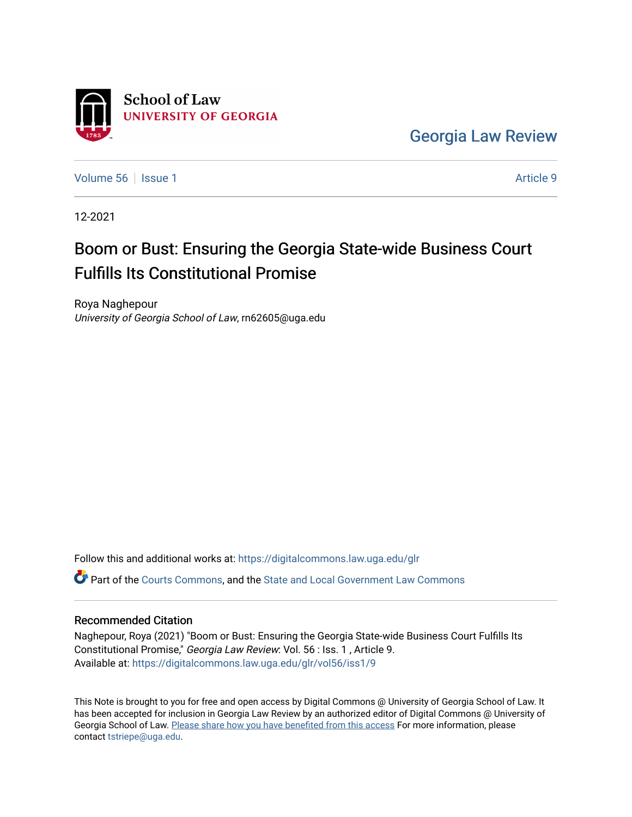

[Georgia Law Review](https://digitalcommons.law.uga.edu/glr) 

[Volume 56](https://digitalcommons.law.uga.edu/glr/vol56) Setsue 1 Article 9

12-2021

# Boom or Bust: Ensuring the Georgia State-wide Business Court Fulfills Its Constitutional Promise

Roya Naghepour University of Georgia School of Law, rn62605@uga.edu

Follow this and additional works at: [https://digitalcommons.law.uga.edu/glr](https://digitalcommons.law.uga.edu/glr?utm_source=digitalcommons.law.uga.edu%2Fglr%2Fvol56%2Fiss1%2F9&utm_medium=PDF&utm_campaign=PDFCoverPages) 

Part of the [Courts Commons,](http://network.bepress.com/hgg/discipline/839?utm_source=digitalcommons.law.uga.edu%2Fglr%2Fvol56%2Fiss1%2F9&utm_medium=PDF&utm_campaign=PDFCoverPages) and the [State and Local Government Law Commons](http://network.bepress.com/hgg/discipline/879?utm_source=digitalcommons.law.uga.edu%2Fglr%2Fvol56%2Fiss1%2F9&utm_medium=PDF&utm_campaign=PDFCoverPages) 

# Recommended Citation

Naghepour, Roya (2021) "Boom or Bust: Ensuring the Georgia State-wide Business Court Fulfills Its Constitutional Promise," Georgia Law Review: Vol. 56 : Iss. 1 , Article 9. Available at: [https://digitalcommons.law.uga.edu/glr/vol56/iss1/9](https://digitalcommons.law.uga.edu/glr/vol56/iss1/9?utm_source=digitalcommons.law.uga.edu%2Fglr%2Fvol56%2Fiss1%2F9&utm_medium=PDF&utm_campaign=PDFCoverPages)

This Note is brought to you for free and open access by Digital Commons @ University of Georgia School of Law. It has been accepted for inclusion in Georgia Law Review by an authorized editor of Digital Commons @ University of Georgia School of Law. [Please share how you have benefited from this access](https://docs.google.com/forms/d/e/1FAIpQLSc_7JxpD4JNSJyX6RwtrWT9ZyH0ZZhUyG3XrFAJV-kf1AGk6g/viewform) For more information, please contact [tstriepe@uga.edu](mailto:tstriepe@uga.edu).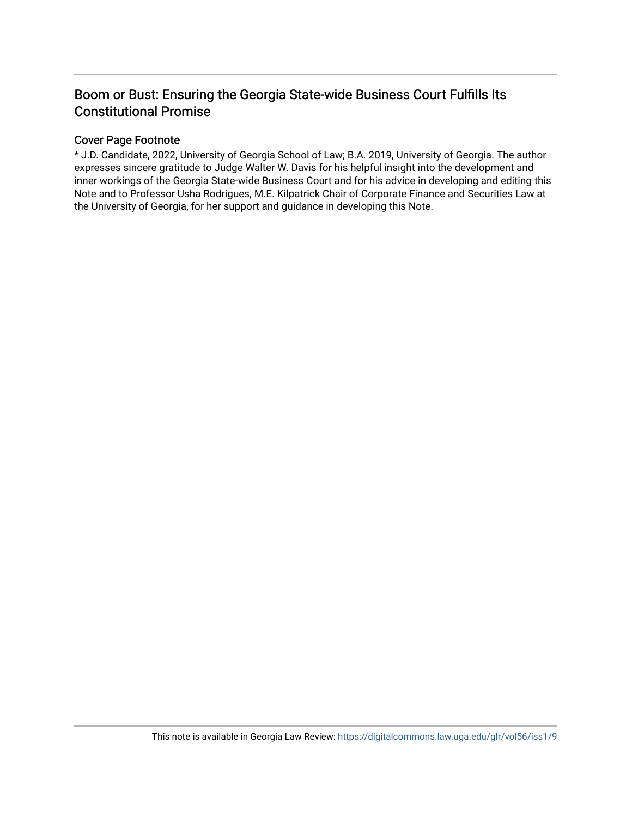# Boom or Bust: Ensuring the Georgia State-wide Business Court Fulfills Its Constitutional Promise

# Cover Page Footnote

\* J.D. Candidate, 2022, University of Georgia School of Law; B.A. 2019, University of Georgia. The author expresses sincere gratitude to Judge Walter W. Davis for his helpful insight into the development and inner workings of the Georgia State-wide Business Court and for his advice in developing and editing this Note and to Professor Usha Rodrigues, M.E. Kilpatrick Chair of Corporate Finance and Securities Law at the University of Georgia, for her support and guidance in developing this Note.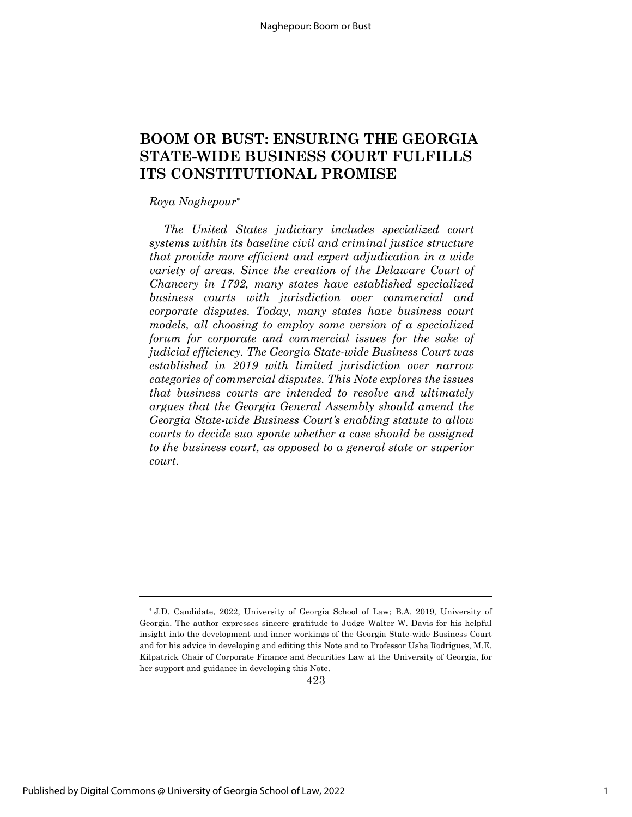# **BOOM OR BUST: ENSURING THE GEORGIA STATE-WIDE BUSINESS COURT FULFILLS ITS CONSTITUTIONAL PROMISE**

#### *Roya Naghepour*\*

*The United States judiciary includes specialized court systems within its baseline civil and criminal justice structure that provide more efficient and expert adjudication in a wide variety of areas. Since the creation of the Delaware Court of Chancery in 1792, many states have established specialized business courts with jurisdiction over commercial and corporate disputes. Today, many states have business court models, all choosing to employ some version of a specialized forum for corporate and commercial issues for the sake of judicial efficiency. The Georgia State-wide Business Court was established in 2019 with limited jurisdiction over narrow categories of commercial disputes. This Note explores the issues that business courts are intended to resolve and ultimately argues that the Georgia General Assembly should amend the Georgia State-wide Business Court's enabling statute to allow courts to decide sua sponte whether a case should be assigned to the business court, as opposed to a general state or superior court.*

423

<sup>\*</sup> J.D. Candidate, 2022, University of Georgia School of Law; B.A. 2019, University of Georgia. The author expresses sincere gratitude to Judge Walter W. Davis for his helpful insight into the development and inner workings of the Georgia State-wide Business Court and for his advice in developing and editing this Note and to Professor Usha Rodrigues, M.E. Kilpatrick Chair of Corporate Finance and Securities Law at the University of Georgia, for her support and guidance in developing this Note.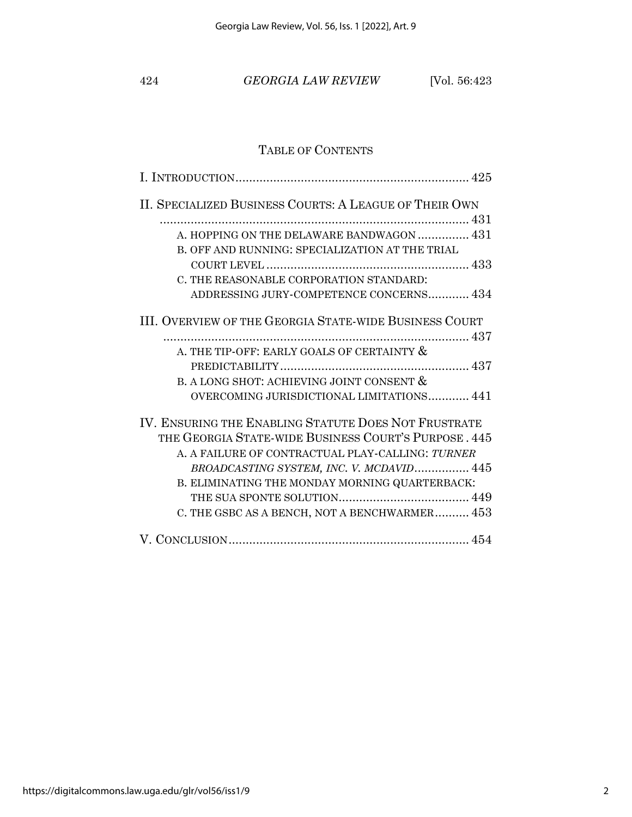424 *GEORGIA LAW REVIEW* [Vol. 56:423

# TABLE OF CONTENTS

| II. SPECIALIZED BUSINESS COURTS: A LEAGUE OF THEIR OWN |
|--------------------------------------------------------|
|                                                        |
| A. HOPPING ON THE DELAWARE BANDWAGON  431              |
| B. OFF AND RUNNING: SPECIALIZATION AT THE TRIAL        |
|                                                        |
| C. THE REASONABLE CORPORATION STANDARD:                |
| ADDRESSING JURY-COMPETENCE CONCERNS 434                |
| III. OVERVIEW OF THE GEORGIA STATE-WIDE BUSINESS COURT |
|                                                        |
| A. THE TIP-OFF: EARLY GOALS OF CERTAINTY &             |
|                                                        |
| B. A LONG SHOT: ACHIEVING JOINT CONSENT &              |
| OVERCOMING JURISDICTIONAL LIMITATIONS 441              |
| IV. ENSURING THE ENABLING STATUTE DOES NOT FRUSTRATE   |
| THE GEORGIA STATE-WIDE BUSINESS COURT'S PURPOSE, 445   |
| A. A FAILURE OF CONTRACTUAL PLAY-CALLING: TURNER       |
| BROADCASTING SYSTEM, INC. V. MCDAVID 445               |
| B. ELIMINATING THE MONDAY MORNING QUARTERBACK:         |
|                                                        |
| C. THE GSBC AS A BENCH, NOT A BENCHWARMER 453          |
|                                                        |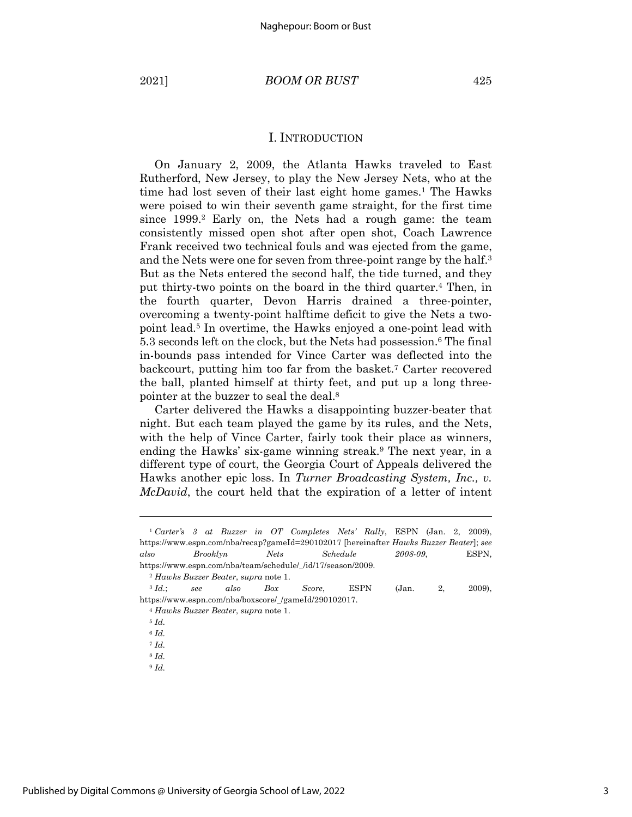### I. INTRODUCTION

On January 2, 2009, the Atlanta Hawks traveled to East Rutherford, New Jersey, to play the New Jersey Nets, who at the time had lost seven of their last eight home games.<sup>1</sup> The Hawks were poised to win their seventh game straight, for the first time since 1999.<sup>2</sup> Early on, the Nets had a rough game: the team consistently missed open shot after open shot, Coach Lawrence Frank received two technical fouls and was ejected from the game, and the Nets were one for seven from three-point range by the half.<sup>3</sup> But as the Nets entered the second half, the tide turned, and they put thirty-two points on the board in the third quarter. <sup>4</sup> Then, in the fourth quarter, Devon Harris drained a three-pointer, overcoming a twenty-point halftime deficit to give the Nets a twopoint lead.5 In overtime, the Hawks enjoyed a one-point lead with 5.3 seconds left on the clock, but the Nets had possession. <sup>6</sup> The final in-bounds pass intended for Vince Carter was deflected into the backcourt, putting him too far from the basket.7 Carter recovered the ball, planted himself at thirty feet, and put up a long threepointer at the buzzer to seal the deal.8

Carter delivered the Hawks a disappointing buzzer-beater that night. But each team played the game by its rules, and the Nets, with the help of Vince Carter, fairly took their place as winners, ending the Hawks' six-game winning streak.9 The next year, in a different type of court, the Georgia Court of Appeals delivered the Hawks another epic loss. In *Turner Broadcasting System, Inc., v. McDavid*, the court held that the expiration of a letter of intent

<sup>9</sup> *Id.*

<sup>1</sup> *Carter's 3 at Buzzer in OT Completes Nets' Rally*, ESPN (Jan. 2, 2009), https://www.espn.com/nba/recap?gameId=290102017 [hereinafter *Hawks Buzzer Beater*]; *see also Brooklyn Nets Schedule 2008-09*, ESPN, https://www.espn.com/nba/team/schedule/\_/id/17/season/2009.

<sup>2</sup> *Hawks Buzzer Beater*, *supra* note 1.

<sup>3</sup> *Id.*; *see also Box Score*, ESPN (Jan. 2, 2009), https://www.espn.com/nba/boxscore/\_/gameId/290102017.

<sup>4</sup> *Hawks Buzzer Beater*, *supra* note 1.

<sup>5</sup> *Id.*

<sup>6</sup> *Id.*

<sup>7</sup> *Id.*

<sup>8</sup> *Id.*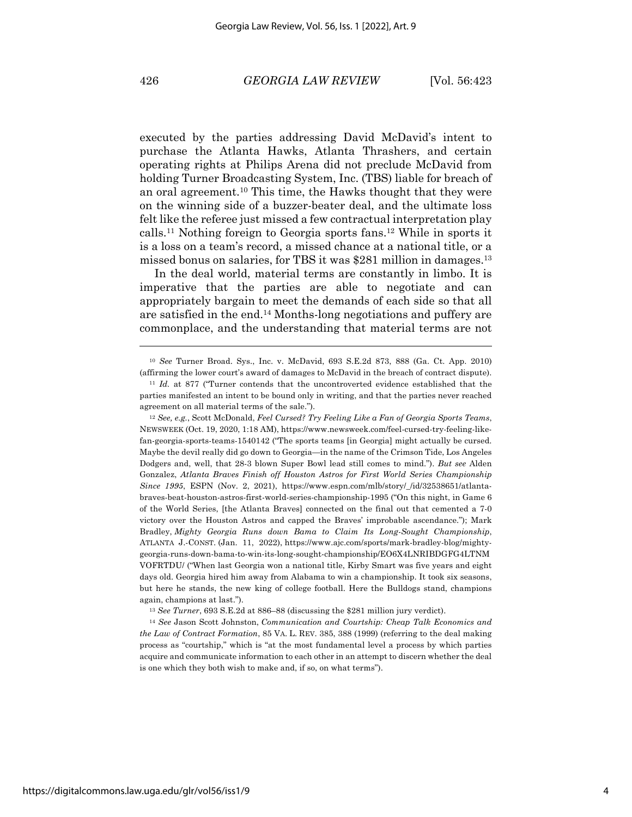executed by the parties addressing David McDavid's intent to purchase the Atlanta Hawks, Atlanta Thrashers, and certain operating rights at Philips Arena did not preclude McDavid from holding Turner Broadcasting System, Inc. (TBS) liable for breach of an oral agreement. <sup>10</sup> This time, the Hawks thought that they were on the winning side of a buzzer-beater deal, and the ultimate loss felt like the referee just missed a few contractual interpretation play calls.11 Nothing foreign to Georgia sports fans.12 While in sports it is a loss on a team's record, a missed chance at a national title, or a missed bonus on salaries, for TBS it was \$281 million in damages.13

In the deal world, material terms are constantly in limbo. It is imperative that the parties are able to negotiate and can appropriately bargain to meet the demands of each side so that all are satisfied in the end.14 Months-long negotiations and puffery are commonplace, and the understanding that material terms are not

<sup>12</sup> *See, e.g.*, Scott McDonald, *Feel Cursed? Try Feeling Like a Fan of Georgia Sports Teams*, NEWSWEEK (Oct. 19, 2020, 1:18 AM), https://www.newsweek.com/feel-cursed-try-feeling-likefan-georgia-sports-teams-1540142 ("The sports teams [in Georgia] might actually be cursed. Maybe the devil really did go down to Georgia—in the name of the Crimson Tide, Los Angeles Dodgers and, well, that 28-3 blown Super Bowl lead still comes to mind."). *But see* Alden Gonzalez, *Atlanta Braves Finish off Houston Astros for First World Series Championship Since 1995*, ESPN (Nov. 2, 2021), https://www.espn.com/mlb/story/\_/id/32538651/atlantabraves-beat-houston-astros-first-world-series-championship-1995 ("On this night, in Game 6 of the World Series, [the Atlanta Braves] connected on the final out that cemented a 7-0 victory over the Houston Astros and capped the Braves' improbable ascendance."); Mark Bradley, *Mighty Georgia Runs down Bama to Claim Its Long-Sought Championship*, ATLANTA J.-CONST. (Jan. 11, 2022), https://www.ajc.com/sports/mark-bradley-blog/mightygeorgia-runs-down-bama-to-win-its-long-sought-championship/EO6X4LNRIBDGFG4LTNM VOFRTDU/ ("When last Georgia won a national title, Kirby Smart was five years and eight days old. Georgia hired him away from Alabama to win a championship. It took six seasons, but here he stands, the new king of college football. Here the Bulldogs stand, champions again, champions at last.").

<sup>13</sup> *See Turner*, 693 S.E.2d at 886–88 (discussing the \$281 million jury verdict).

<sup>14</sup> *See* Jason Scott Johnston, *Communication and Courtship: Cheap Talk Economics and the Law of Contract Formation*, 85 VA. L. REV. 385, 388 (1999) (referring to the deal making process as "courtship," which is "at the most fundamental level a process by which parties acquire and communicate information to each other in an attempt to discern whether the deal is one which they both wish to make and, if so, on what terms").

<sup>10</sup> *See* Turner Broad. Sys., Inc. v. McDavid, 693 S.E.2d 873, 888 (Ga. Ct. App. 2010) (affirming the lower court's award of damages to McDavid in the breach of contract dispute).

<sup>11</sup> *Id.* at 877 ("Turner contends that the uncontroverted evidence established that the parties manifested an intent to be bound only in writing, and that the parties never reached agreement on all material terms of the sale.").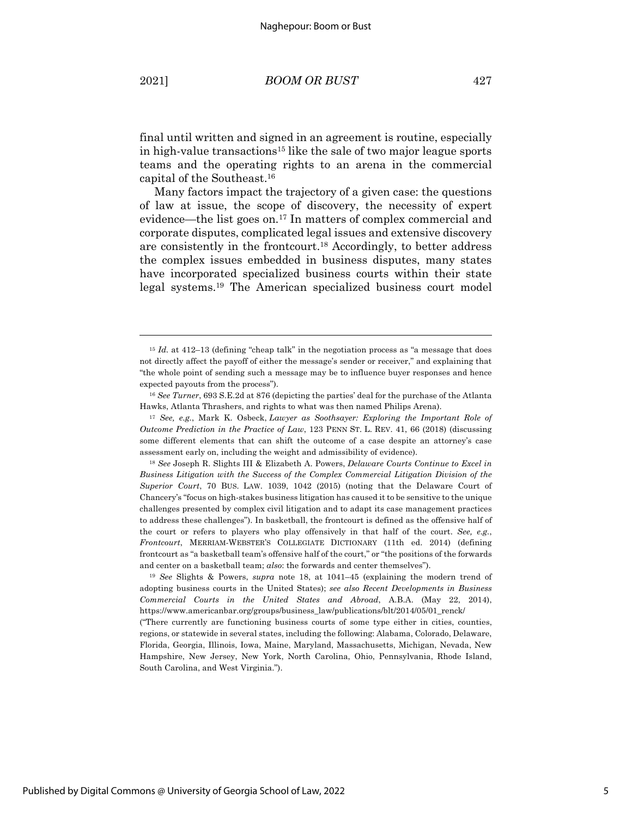final until written and signed in an agreement is routine, especially in high-value transactions<sup>15</sup> like the sale of two major league sports teams and the operating rights to an arena in the commercial capital of the Southeast.16

Many factors impact the trajectory of a given case: the questions of law at issue, the scope of discovery, the necessity of expert evidence—the list goes on.17 In matters of complex commercial and corporate disputes, complicated legal issues and extensive discovery are consistently in the frontcourt.18 Accordingly, to better address the complex issues embedded in business disputes, many states have incorporated specialized business courts within their state legal systems.19 The American specialized business court model

<sup>&</sup>lt;sup>15</sup> *Id.* at 412–13 (defining "cheap talk" in the negotiation process as "a message that does not directly affect the payoff of either the message's sender or receiver," and explaining that "the whole point of sending such a message may be to influence buyer responses and hence expected payouts from the process").

<sup>16</sup> *See Turner*, 693 S.E.2d at 876 (depicting the parties' deal for the purchase of the Atlanta Hawks, Atlanta Thrashers, and rights to what was then named Philips Arena).

<sup>17</sup> *See, e.g.*, Mark K. Osbeck, *Lawyer as Soothsayer: Exploring the Important Role of Outcome Prediction in the Practice of Law*, 123 PENN ST. L. REV. 41, 66 (2018) (discussing some different elements that can shift the outcome of a case despite an attorney's case assessment early on, including the weight and admissibility of evidence).

<sup>18</sup> *See* Joseph R. Slights III & Elizabeth A. Powers, *Delaware Courts Continue to Excel in Business Litigation with the Success of the Complex Commercial Litigation Division of the Superior Court*, 70 BUS. LAW. 1039, 1042 (2015) (noting that the Delaware Court of Chancery's "focus on high-stakes business litigation has caused it to be sensitive to the unique challenges presented by complex civil litigation and to adapt its case management practices to address these challenges"). In basketball, the frontcourt is defined as the offensive half of the court or refers to players who play offensively in that half of the court. *See, e.g.*, *Frontcourt*, MERRIAM-WEBSTER'S COLLEGIATE DICTIONARY (11th ed. 2014) (defining frontcourt as "a basketball team's offensive half of the court," or "the positions of the forwards and center on a basketball team; *also*: the forwards and center themselves").

<sup>19</sup> *See* Slights & Powers, *supra* note 18, at 1041–45 (explaining the modern trend of adopting business courts in the United States); *see also Recent Developments in Business Commercial Courts in the United States and Abroad*, A.B.A. (May 22, 2014), https://www.americanbar.org/groups/business\_law/publications/blt/2014/05/01\_renck/

<sup>(&</sup>quot;There currently are functioning business courts of some type either in cities, counties, regions, or statewide in several states, including the following: Alabama, Colorado, Delaware, Florida, Georgia, Illinois, Iowa, Maine, Maryland, Massachusetts, Michigan, Nevada, New Hampshire, New Jersey, New York, North Carolina, Ohio, Pennsylvania, Rhode Island, South Carolina, and West Virginia.").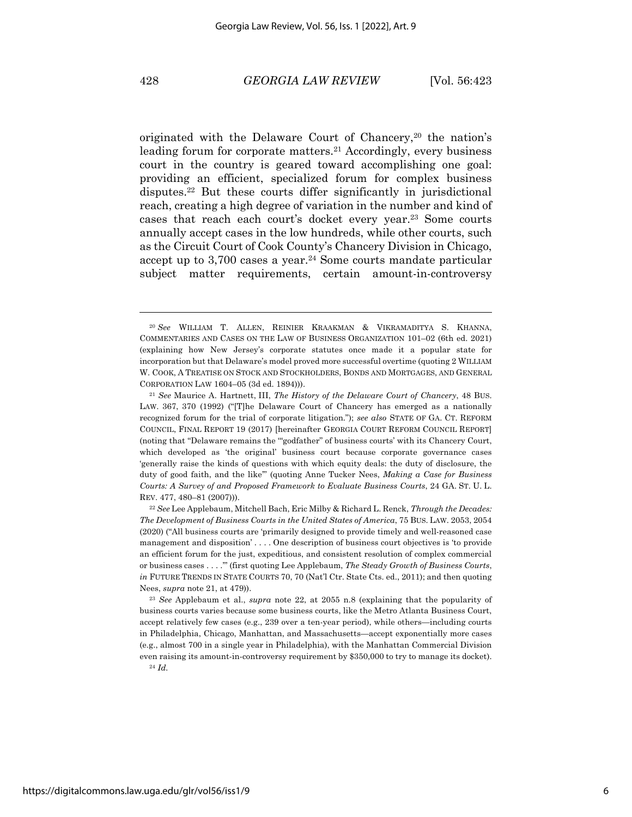originated with the Delaware Court of Chancery,<sup>20</sup> the nation's leading forum for corporate matters.<sup>21</sup> Accordingly, every business court in the country is geared toward accomplishing one goal: providing an efficient, specialized forum for complex business disputes.22 But these courts differ significantly in jurisdictional reach, creating a high degree of variation in the number and kind of cases that reach each court's docket every year.23 Some courts annually accept cases in the low hundreds, while other courts, such as the Circuit Court of Cook County's Chancery Division in Chicago, accept up to 3,700 cases a year.<sup>24</sup> Some courts mandate particular subject matter requirements, certain amount-in-controversy

<sup>20</sup> *See* WILLIAM T. ALLEN, REINIER KRAAKMAN & VIKRAMADITYA S. KHANNA, COMMENTARIES AND CASES ON THE LAW OF BUSINESS ORGANIZATION 101–02 (6th ed. 2021) (explaining how New Jersey's corporate statutes once made it a popular state for incorporation but that Delaware's model proved more successful overtime (quoting 2 WILLIAM W. COOK, A TREATISE ON STOCK AND STOCKHOLDERS, BONDS AND MORTGAGES, AND GENERAL CORPORATION LAW 1604–05 (3d ed. 1894))).

<sup>21</sup> *See* Maurice A. Hartnett, III, *The History of the Delaware Court of Chancery*, 48 BUS. LAW. 367, 370 (1992) ("[T]he Delaware Court of Chancery has emerged as a nationally recognized forum for the trial of corporate litigation."); *see also* STATE OF GA. CT. REFORM COUNCIL, FINAL REPORT 19 (2017) [hereinafter GEORGIA COURT REFORM COUNCIL REPORT] (noting that "Delaware remains the '"godfather" of business courts' with its Chancery Court, which developed as 'the original' business court because corporate governance cases 'generally raise the kinds of questions with which equity deals: the duty of disclosure, the duty of good faith, and the like'" (quoting Anne Tucker Nees, *Making a Case for Business Courts: A Survey of and Proposed Framework to Evaluate Business Courts*, 24 GA. ST. U. L. REV. 477, 480–81 (2007))).

<sup>22</sup> *See* Lee Applebaum, Mitchell Bach, Eric Milby & Richard L. Renck, *Through the Decades: The Development of Business Courts in the United States of America*, 75 BUS. LAW. 2053, 2054 (2020) ("All business courts are 'primarily designed to provide timely and well-reasoned case management and disposition' . . . . One description of business court objectives is 'to provide an efficient forum for the just, expeditious, and consistent resolution of complex commercial or business cases . . . .'" (first quoting Lee Applebaum, *The Steady Growth of Business Courts*, *in FUTURE TRENDS IN STATE COURTS 70, 70 (Nat'l Ctr. State Cts. ed., 2011); and then quoting* Nees, *supra* note 21, at 479)).

<sup>23</sup> *See* Applebaum et al., *supra* note 22, at 2055 n.8 (explaining that the popularity of business courts varies because some business courts, like the Metro Atlanta Business Court, accept relatively few cases (e.g., 239 over a ten-year period), while others—including courts in Philadelphia, Chicago, Manhattan, and Massachusetts—accept exponentially more cases (e.g., almost 700 in a single year in Philadelphia), with the Manhattan Commercial Division even raising its amount-in-controversy requirement by \$350,000 to try to manage its docket). <sup>24</sup> *Id.*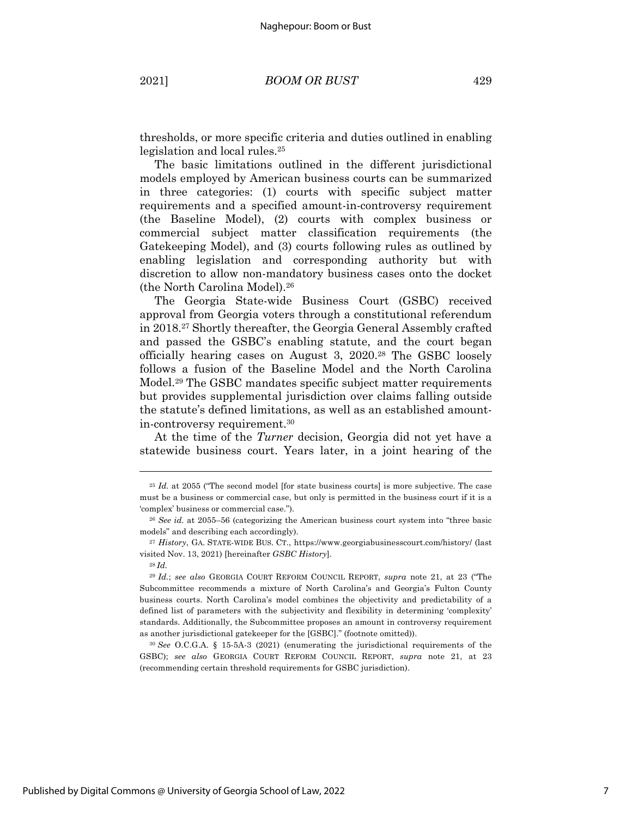thresholds, or more specific criteria and duties outlined in enabling legislation and local rules.25

The basic limitations outlined in the different jurisdictional models employed by American business courts can be summarized in three categories: (1) courts with specific subject matter requirements and a specified amount-in-controversy requirement (the Baseline Model), (2) courts with complex business or commercial subject matter classification requirements (the Gatekeeping Model), and (3) courts following rules as outlined by enabling legislation and corresponding authority but with discretion to allow non-mandatory business cases onto the docket (the North Carolina Model).26

The Georgia State-wide Business Court (GSBC) received approval from Georgia voters through a constitutional referendum in 2018.27 Shortly thereafter, the Georgia General Assembly crafted and passed the GSBC's enabling statute, and the court began officially hearing cases on August 3, 2020.28 The GSBC loosely follows a fusion of the Baseline Model and the North Carolina Model.<sup>29</sup> The GSBC mandates specific subject matter requirements but provides supplemental jurisdiction over claims falling outside the statute's defined limitations, as well as an established amountin-controversy requirement.30

At the time of the *Turner* decision, Georgia did not yet have a statewide business court. Years later, in a joint hearing of the

<sup>&</sup>lt;sup>25</sup> *Id.* at 2055 ("The second model [for state business courts] is more subjective. The case must be a business or commercial case, but only is permitted in the business court if it is a 'complex' business or commercial case.").

<sup>26</sup> *See id.* at 2055–56 (categorizing the American business court system into "three basic models" and describing each accordingly).

<sup>27</sup> *History*, GA. STATE-WIDE BUS. CT., https://www.georgiabusinesscourt.com/history/ (last visited Nov. 13, 2021) [hereinafter *GSBC History*].

<sup>28</sup> *Id.*

<sup>29</sup> *Id.*; *see also* GEORGIA COURT REFORM COUNCIL REPORT, *supra* note 21, at 23 ("The Subcommittee recommends a mixture of North Carolina's and Georgia's Fulton County business courts. North Carolina's model combines the objectivity and predictability of a defined list of parameters with the subjectivity and flexibility in determining 'complexity' standards. Additionally, the Subcommittee proposes an amount in controversy requirement as another jurisdictional gatekeeper for the [GSBC]." (footnote omitted)).

<sup>30</sup> *See* O.C.G.A. § 15-5A-3 (2021) (enumerating the jurisdictional requirements of the GSBC); *see also* GEORGIA COURT REFORM COUNCIL REPORT, *supra* note 21, at 23 (recommending certain threshold requirements for GSBC jurisdiction).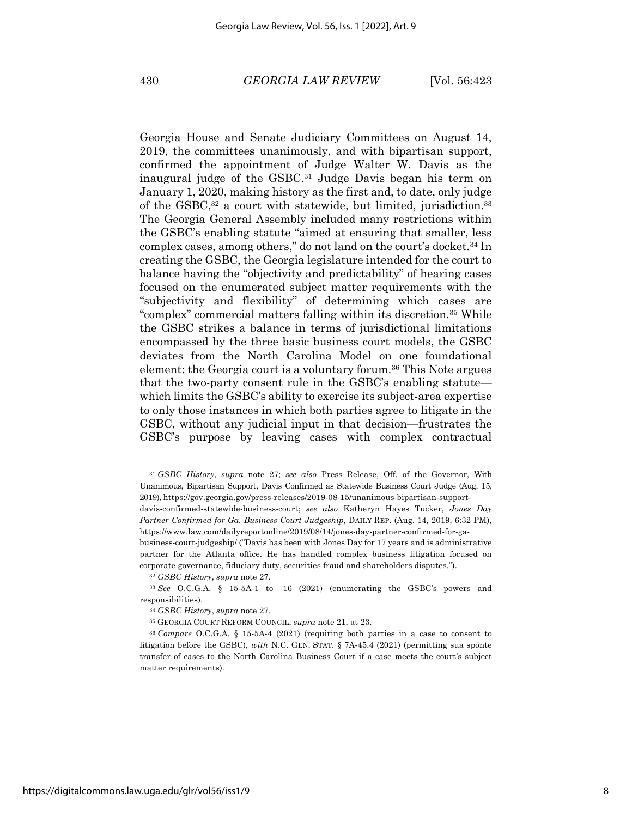Georgia House and Senate Judiciary Committees on August 14, 2019, the committees unanimously, and with bipartisan support, confirmed the appointment of Judge Walter W. Davis as the inaugural judge of the GSBC. <sup>31</sup> Judge Davis began his term on January 1, 2020, making history as the first and, to date, only judge of the GSBC,<sup>32</sup> a court with statewide, but limited, jurisdiction.<sup>33</sup> The Georgia General Assembly included many restrictions within the GSBC's enabling statute "aimed at ensuring that smaller, less complex cases, among others," do not land on the court's docket.34 In creating the GSBC, the Georgia legislature intended for the court to balance having the "objectivity and predictability" of hearing cases focused on the enumerated subject matter requirements with the "subjectivity and flexibility" of determining which cases are "complex" commercial matters falling within its discretion.35 While the GSBC strikes a balance in terms of jurisdictional limitations encompassed by the three basic business court models, the GSBC deviates from the North Carolina Model on one foundational element: the Georgia court is a voluntary forum.36 This Note argues that the two-party consent rule in the GSBC's enabling statute which limits the GSBC's ability to exercise its subject-area expertise to only those instances in which both parties agree to litigate in the GSBC, without any judicial input in that decision—frustrates the GSBC's purpose by leaving cases with complex contractual

<sup>32</sup> *GSBC History*, *supra* note 27.

<sup>31</sup> *GSBC History*, *supra* note 27; *see also* Press Release, Off. of the Governor, With Unanimous, Bipartisan Support, Davis Confirmed as Statewide Business Court Judge (Aug. 15, 2019), https://gov.georgia.gov/press-releases/2019-08-15/unanimous-bipartisan-support-

davis-confirmed-statewide-business-court; *see also* Katheryn Hayes Tucker, *Jones Day Partner Confirmed for Ga. Business Court Judgeship*, DAILY REP. (Aug. 14, 2019, 6:32 PM), https://www.law.com/dailyreportonline/2019/08/14/jones-day-partner-confirmed-for-ga-

business-court-judgeship/ ("Davis has been with Jones Day for 17 years and is administrative partner for the Atlanta office. He has handled complex business litigation focused on corporate governance, fiduciary duty, securities fraud and shareholders disputes.").

<sup>33</sup> *See* O.C.G.A. § 15-5A-1 to -16 (2021) (enumerating the GSBC's powers and responsibilities).

<sup>34</sup> *GSBC History*, *supra* note 27.

<sup>35</sup> GEORGIA COURT REFORM COUNCIL, *supra* note 21, at 23.

<sup>36</sup> *Compare* O.C.G.A. § 15-5A-4 (2021) (requiring both parties in a case to consent to litigation before the GSBC), *with* N.C. GEN. STAT. § 7A-45.4 (2021) (permitting sua sponte transfer of cases to the North Carolina Business Court if a case meets the court's subject matter requirements).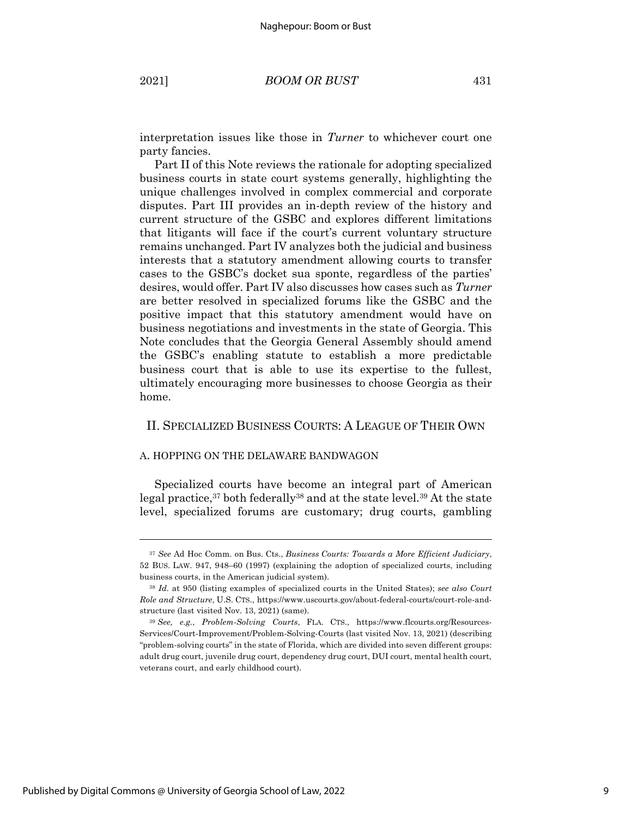interpretation issues like those in *Turner* to whichever court one party fancies.

Part II of this Note reviews the rationale for adopting specialized business courts in state court systems generally, highlighting the unique challenges involved in complex commercial and corporate disputes. Part III provides an in-depth review of the history and current structure of the GSBC and explores different limitations that litigants will face if the court's current voluntary structure remains unchanged. Part IV analyzes both the judicial and business interests that a statutory amendment allowing courts to transfer cases to the GSBC's docket sua sponte, regardless of the parties' desires, would offer. Part IV also discusses how cases such as *Turner*  are better resolved in specialized forums like the GSBC and the positive impact that this statutory amendment would have on business negotiations and investments in the state of Georgia. This Note concludes that the Georgia General Assembly should amend the GSBC's enabling statute to establish a more predictable business court that is able to use its expertise to the fullest, ultimately encouraging more businesses to choose Georgia as their home.

# II. SPECIALIZED BUSINESS COURTS: A LEAGUE OF THEIR OWN

#### A. HOPPING ON THE DELAWARE BANDWAGON

Specialized courts have become an integral part of American legal practice,37 both federally38 and at the state level.39 At the state level, specialized forums are customary; drug courts, gambling

<sup>37</sup> *See* Ad Hoc Comm. on Bus. Cts., *Business Courts: Towards a More Efficient Judiciary*, 52 BUS. LAW. 947, 948–60 (1997) (explaining the adoption of specialized courts, including business courts, in the American judicial system).

<sup>38</sup> *Id.* at 950 (listing examples of specialized courts in the United States); *see also Court Role and Structure*, U.S. CTS., https://www.uscourts.gov/about-federal-courts/court-role-andstructure (last visited Nov. 13, 2021) (same).

<sup>39</sup> *See, e.g.*, *Problem-Solving Courts*, FLA. CTS., https://www.flcourts.org/Resources-Services/Court-Improvement/Problem-Solving-Courts (last visited Nov. 13, 2021) (describing "problem-solving courts" in the state of Florida, which are divided into seven different groups: adult drug court, juvenile drug court, dependency drug court, DUI court, mental health court, veterans court, and early childhood court).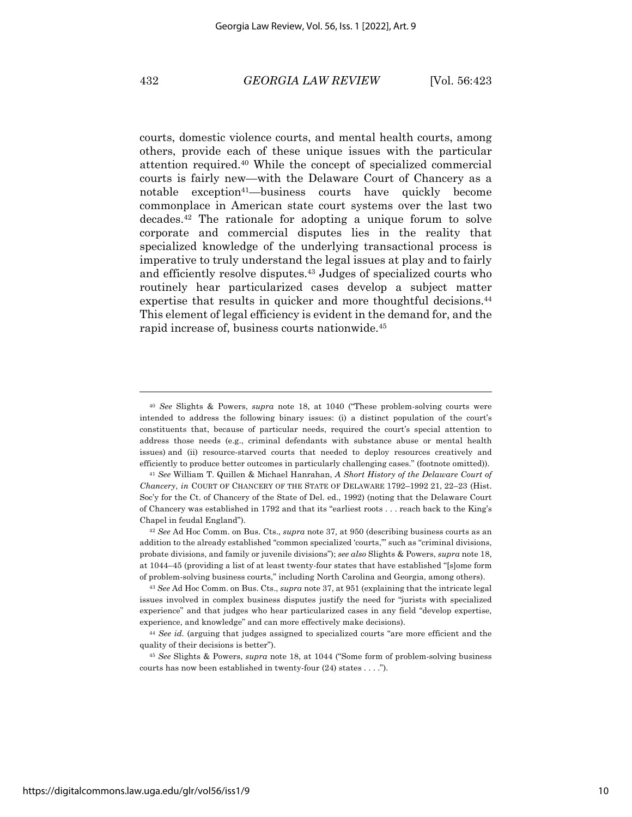courts, domestic violence courts, and mental health courts, among others, provide each of these unique issues with the particular attention required.40 While the concept of specialized commercial courts is fairly new—with the Delaware Court of Chancery as a notable exception<sup>41</sup>—business courts have quickly become commonplace in American state court systems over the last two decades.42 The rationale for adopting a unique forum to solve corporate and commercial disputes lies in the reality that specialized knowledge of the underlying transactional process is imperative to truly understand the legal issues at play and to fairly and efficiently resolve disputes.43 Judges of specialized courts who routinely hear particularized cases develop a subject matter expertise that results in quicker and more thoughtful decisions.<sup>44</sup> This element of legal efficiency is evident in the demand for, and the rapid increase of, business courts nationwide.45

<sup>40</sup> *See* Slights & Powers, *supra* note 18, at 1040 ("These problem-solving courts were intended to address the following binary issues: (i) a distinct population of the court's constituents that, because of particular needs, required the court's special attention to address those needs (e.g., criminal defendants with substance abuse or mental health issues) and (ii) resource-starved courts that needed to deploy resources creatively and efficiently to produce better outcomes in particularly challenging cases." (footnote omitted)).

<sup>41</sup> *See* William T. Quillen & Michael Hanrahan, *A Short History of the Delaware Court of Chancery*, *in* COURT OF CHANCERY OF THE STATE OF DELAWARE 1792–1992 21, 22–23 (Hist. Soc'y for the Ct. of Chancery of the State of Del. ed., 1992) (noting that the Delaware Court of Chancery was established in 1792 and that its "earliest roots . . . reach back to the King's Chapel in feudal England").

<sup>42</sup> *See* Ad Hoc Comm. on Bus. Cts., *supra* note 37*,* at 950 (describing business courts as an addition to the already established "common specialized 'courts,'" such as "criminal divisions, probate divisions, and family or juvenile divisions"); *see also* Slights & Powers, *supra* note 18, at 1044–45 (providing a list of at least twenty-four states that have established "[s]ome form of problem-solving business courts," including North Carolina and Georgia, among others).

<sup>43</sup> *See* Ad Hoc Comm. on Bus. Cts., *supra* note 37, at 951 (explaining that the intricate legal issues involved in complex business disputes justify the need for "jurists with specialized experience" and that judges who hear particularized cases in any field "develop expertise, experience, and knowledge" and can more effectively make decisions).

<sup>44</sup> *See id.* (arguing that judges assigned to specialized courts "are more efficient and the quality of their decisions is better").

<sup>45</sup> *See* Slights & Powers, *supra* note 18, at 1044 ("Some form of problem-solving business courts has now been established in twenty-four (24) states . . . .").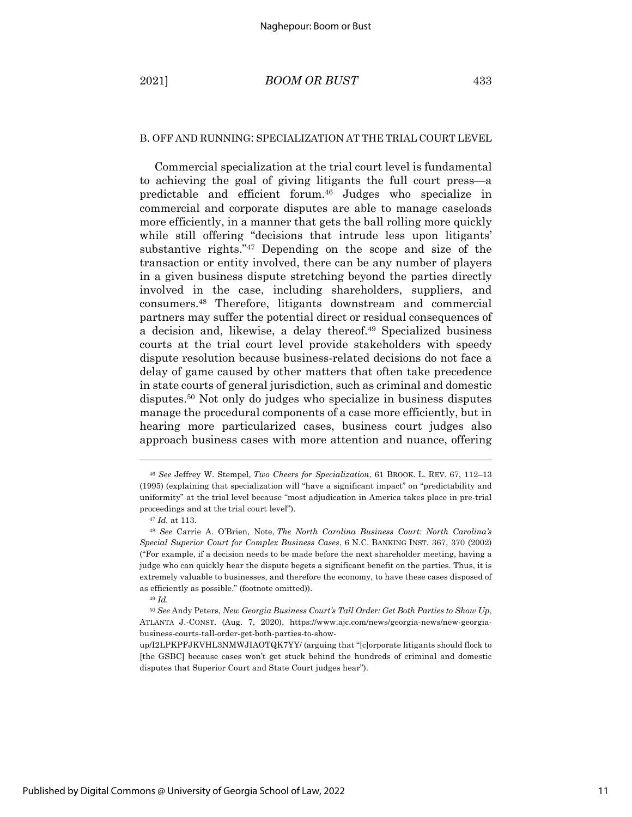#### B. OFF AND RUNNING: SPECIALIZATION AT THE TRIAL COURT LEVEL

Commercial specialization at the trial court level is fundamental to achieving the goal of giving litigants the full court press—a predictable and efficient forum. <sup>46</sup> Judges who specialize in commercial and corporate disputes are able to manage caseloads more efficiently, in a manner that gets the ball rolling more quickly while still offering "decisions that intrude less upon litigants" substantive rights."47 Depending on the scope and size of the transaction or entity involved, there can be any number of players in a given business dispute stretching beyond the parties directly involved in the case, including shareholders, suppliers, and consumers. <sup>48</sup> Therefore, litigants downstream and commercial partners may suffer the potential direct or residual consequences of a decision and, likewise, a delay thereof. <sup>49</sup> Specialized business courts at the trial court level provide stakeholders with speedy dispute resolution because business-related decisions do not face a delay of game caused by other matters that often take precedence in state courts of general jurisdiction, such as criminal and domestic disputes.50 Not only do judges who specialize in business disputes manage the procedural components of a case more efficiently, but in hearing more particularized cases, business court judges also approach business cases with more attention and nuance, offering

<sup>49</sup> *Id.*

<sup>46</sup> *See* Jeffrey W. Stempel, *Two Cheers for Specialization*, 61 BROOK. L. REV. 67, 112–13 (1995) (explaining that specialization will "have a significant impact" on "predictability and uniformity" at the trial level because "most adjudication in America takes place in pre-trial proceedings and at the trial court level").

<sup>47</sup> *Id.* at 113.

<sup>48</sup> *See* Carrie A. O'Brien, Note, *The North Carolina Business Court: North Carolina's Special Superior Court for Complex Business Cases*, 6 N.C. BANKING INST. 367, 370 (2002) ("For example, if a decision needs to be made before the next shareholder meeting, having a judge who can quickly hear the dispute begets a significant benefit on the parties. Thus, it is extremely valuable to businesses, and therefore the economy, to have these cases disposed of as efficiently as possible." (footnote omitted)).

<sup>50</sup> *See* Andy Peters, *New Georgia Business Court's Tall Order: Get Both Parties to Show Up*, ATLANTA J.-CONST. (Aug. 7, 2020), https://www.ajc.com/news/georgia-news/new-georgiabusiness-courts-tall-order-get-both-parties-to-show-

up/I2LPKPFJKVHL3NMWJIAOTQK7YY/ (arguing that "[c]orporate litigants should flock to [the GSBC] because cases won't get stuck behind the hundreds of criminal and domestic disputes that Superior Court and State Court judges hear").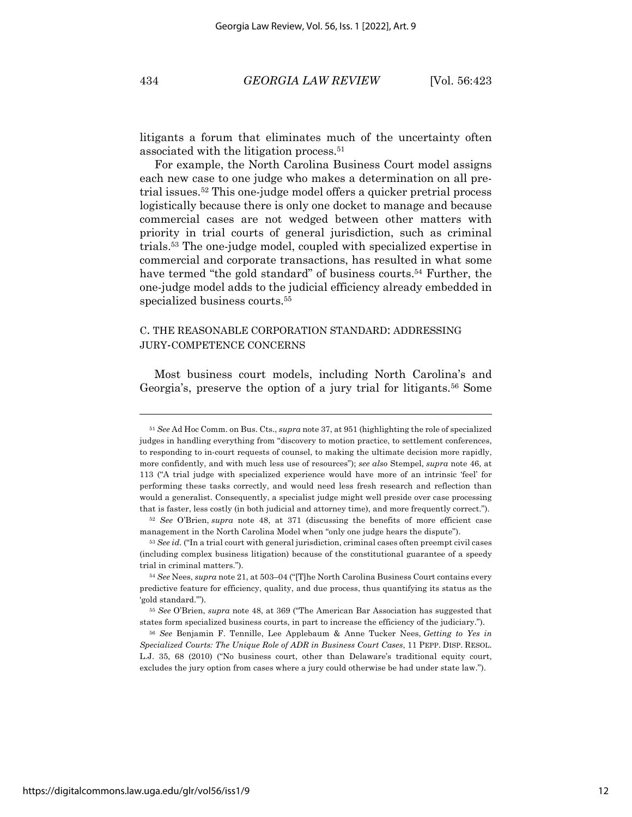litigants a forum that eliminates much of the uncertainty often associated with the litigation process. 51

For example, the North Carolina Business Court model assigns each new case to one judge who makes a determination on all pretrial issues.52 This one-judge model offers a quicker pretrial process logistically because there is only one docket to manage and because commercial cases are not wedged between other matters with priority in trial courts of general jurisdiction, such as criminal trials.53 The one-judge model, coupled with specialized expertise in commercial and corporate transactions, has resulted in what some have termed "the gold standard" of business courts.54 Further, the one-judge model adds to the judicial efficiency already embedded in specialized business courts.<sup>55</sup>

# C. THE REASONABLE CORPORATION STANDARD: ADDRESSING JURY-COMPETENCE CONCERNS

Most business court models, including North Carolina's and Georgia's, preserve the option of a jury trial for litigants.<sup>56</sup> Some

<sup>51</sup> *See* Ad Hoc Comm. on Bus. Cts., *supra* note 37, at 951 (highlighting the role of specialized judges in handling everything from "discovery to motion practice, to settlement conferences, to responding to in-court requests of counsel, to making the ultimate decision more rapidly, more confidently, and with much less use of resources"); *see also* Stempel, *supra* note 46, at 113 ("A trial judge with specialized experience would have more of an intrinsic 'feel' for performing these tasks correctly, and would need less fresh research and reflection than would a generalist. Consequently, a specialist judge might well preside over case processing that is faster, less costly (in both judicial and attorney time), and more frequently correct.").

<sup>52</sup> *See* O'Brien, *supra* note 48, at 371 (discussing the benefits of more efficient case management in the North Carolina Model when "only one judge hears the dispute").

<sup>&</sup>lt;sup>53</sup> See id. ("In a trial court with general jurisdiction, criminal cases often preempt civil cases (including complex business litigation) because of the constitutional guarantee of a speedy trial in criminal matters.").

<sup>54</sup> *See* Nees, *supra* note 21, at 503–04 ("[T]he North Carolina Business Court contains every predictive feature for efficiency, quality, and due process, thus quantifying its status as the 'gold standard.'").

<sup>55</sup> *See* O'Brien, *supra* note 48, at 369 ("The American Bar Association has suggested that states form specialized business courts, in part to increase the efficiency of the judiciary.").

<sup>56</sup> *See* Benjamin F. Tennille, Lee Applebaum & Anne Tucker Nees, *Getting to Yes in Specialized Courts: The Unique Role of ADR in Business Court Cases*, 11 PEPP. DISP. RESOL. L.J. 35, 68 (2010) ("No business court, other than Delaware's traditional equity court, excludes the jury option from cases where a jury could otherwise be had under state law.").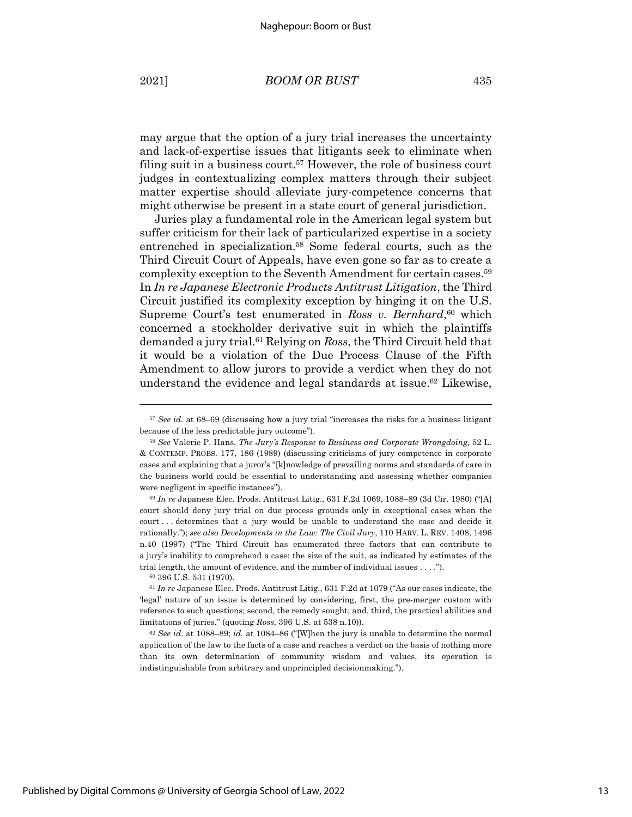may argue that the option of a jury trial increases the uncertainty and lack-of-expertise issues that litigants seek to eliminate when filing suit in a business court.<sup>57</sup> However, the role of business court judges in contextualizing complex matters through their subject matter expertise should alleviate jury-competence concerns that might otherwise be present in a state court of general jurisdiction.

Juries play a fundamental role in the American legal system but suffer criticism for their lack of particularized expertise in a society entrenched in specialization.58 Some federal courts, such as the Third Circuit Court of Appeals, have even gone so far as to create a complexity exception to the Seventh Amendment for certain cases.59 In *In re Japanese Electronic Products Antitrust Litigation*, the Third Circuit justified its complexity exception by hinging it on the U.S. Supreme Court's test enumerated in *Ross v. Bernhard*,<sup>60</sup> which concerned a stockholder derivative suit in which the plaintiffs demanded a jury trial.61 Relying on *Ross*, the Third Circuit held that it would be a violation of the Due Process Clause of the Fifth Amendment to allow jurors to provide a verdict when they do not understand the evidence and legal standards at issue.<sup>62</sup> Likewise,

<sup>59</sup> *In re* Japanese Elec. Prods. Antitrust Litig., 631 F.2d 1069, 1088–89 (3d Cir. 1980) ("[A] court should deny jury trial on due process grounds only in exceptional cases when the court . . . determines that a jury would be unable to understand the case and decide it rationally."); *see also Developments in the Law: The Civil Jury*, 110 HARV. L. REV. 1408, 1496 n.40 (1997) ("The Third Circuit has enumerated three factors that can contribute to a jury's inability to comprehend a case: the size of the suit, as indicated by estimates of the trial length, the amount of evidence, and the number of individual issues . . . .").

<sup>60</sup> 396 U.S. 531 (1970).

<sup>62</sup> *See id.* at 1088–89; *id.* at 1084–86 ("[W]hen the jury is unable to determine the normal application of the law to the facts of a case and reaches a verdict on the basis of nothing more than its own determination of community wisdom and values, its operation is indistinguishable from arbitrary and unprincipled decisionmaking.").

<sup>57</sup> *See id.* at 68–69 (discussing how a jury trial "increases the risks for a business litigant because of the less predictable jury outcome").

<sup>58</sup> *See* Valerie P. Hans, *The Jury's Response to Business and Corporate Wrongdoing*, 52 L. & CONTEMP. PROBS. 177, 186 (1989) (discussing criticisms of jury competence in corporate cases and explaining that a juror's "[k]nowledge of prevailing norms and standards of care in the business world could be essential to understanding and assessing whether companies were negligent in specific instances").

<sup>61</sup> *In re* Japanese Elec. Prods. Antitrust Litig., 631 F.2d at 1079 ("As our cases indicate, the 'legal' nature of an issue is determined by considering, first, the pre-merger custom with reference to such questions; second, the remedy sought; and, third, the practical abilities and limitations of juries." (quoting *Ross*, 396 U.S. at 538 n.10)).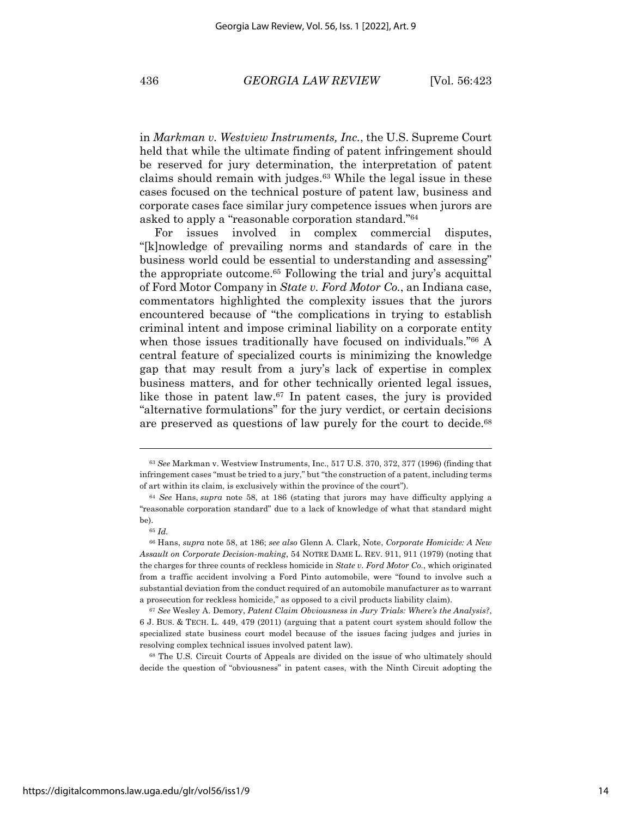in *Markman v. Westview Instruments, Inc.*, the U.S. Supreme Court held that while the ultimate finding of patent infringement should be reserved for jury determination, the interpretation of patent claims should remain with judges.63 While the legal issue in these cases focused on the technical posture of patent law, business and corporate cases face similar jury competence issues when jurors are asked to apply a "reasonable corporation standard."64

For issues involved in complex commercial disputes, "[k]nowledge of prevailing norms and standards of care in the business world could be essential to understanding and assessing" the appropriate outcome.65 Following the trial and jury's acquittal of Ford Motor Company in *State v. Ford Motor Co.*, an Indiana case, commentators highlighted the complexity issues that the jurors encountered because of "the complications in trying to establish criminal intent and impose criminal liability on a corporate entity when those issues traditionally have focused on individuals."<sup>66</sup> A central feature of specialized courts is minimizing the knowledge gap that may result from a jury's lack of expertise in complex business matters, and for other technically oriented legal issues, like those in patent law.67 In patent cases, the jury is provided "alternative formulations" for the jury verdict, or certain decisions are preserved as questions of law purely for the court to decide.<sup>68</sup>

<sup>68</sup> The U.S. Circuit Courts of Appeals are divided on the issue of who ultimately should decide the question of "obviousness" in patent cases, with the Ninth Circuit adopting the

<sup>63</sup> *See* Markman v. Westview Instruments, Inc., 517 U.S. 370, 372, 377 (1996) (finding that infringement cases "must be tried to a jury," but "the construction of a patent, including terms of art within its claim, is exclusively within the province of the court").

<sup>64</sup> *See* Hans, *supra* note 58, at 186 (stating that jurors may have difficulty applying a "reasonable corporation standard" due to a lack of knowledge of what that standard might be).

<sup>65</sup> *Id.*

<sup>66</sup> Hans, *supra* note 58, at 186; *see also* Glenn A. Clark, Note, *Corporate Homicide: A New Assault on Corporate Decision-making*, 54 NOTRE DAME L. REV. 911, 911 (1979) (noting that the charges for three counts of reckless homicide in *State v. Ford Motor Co.*, which originated from a traffic accident involving a Ford Pinto automobile, were "found to involve such a substantial deviation from the conduct required of an automobile manufacturer as to warrant a prosecution for reckless homicide," as opposed to a civil products liability claim).

<sup>67</sup> *See* Wesley A. Demory, *Patent Claim Obviousness in Jury Trials: Where's the Analysis?*, 6 J. BUS. & TECH. L. 449, 479 (2011) (arguing that a patent court system should follow the specialized state business court model because of the issues facing judges and juries in resolving complex technical issues involved patent law).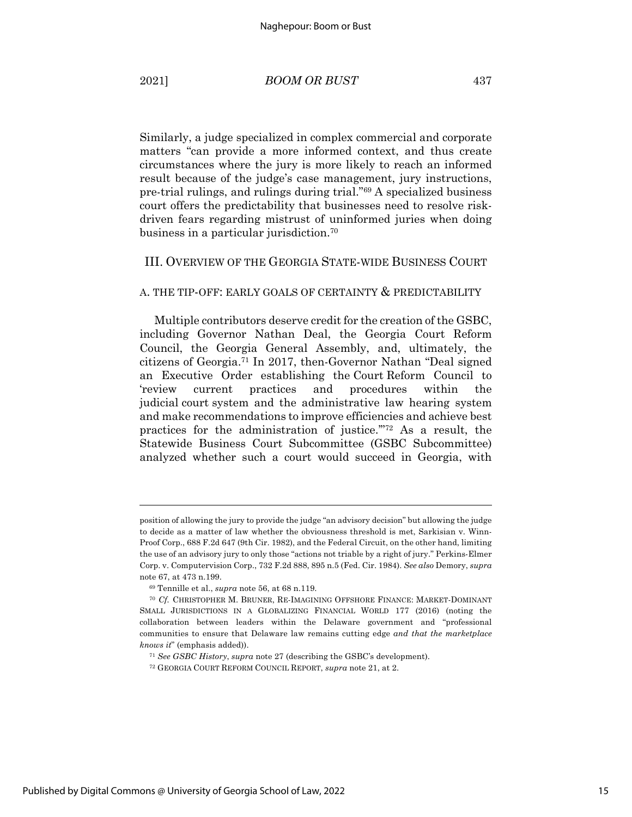Similarly, a judge specialized in complex commercial and corporate matters "can provide a more informed context, and thus create circumstances where the jury is more likely to reach an informed result because of the judge's case management, jury instructions, pre-trial rulings, and rulings during trial."69 A specialized business court offers the predictability that businesses need to resolve riskdriven fears regarding mistrust of uninformed juries when doing business in a particular jurisdiction.70

#### III. OVERVIEW OF THE GEORGIA STATE-WIDE BUSINESS COURT

#### A. THE TIP-OFF: EARLY GOALS OF CERTAINTY & PREDICTABILITY

Multiple contributors deserve credit for the creation of the GSBC, including Governor Nathan Deal, the Georgia Court Reform Council, the Georgia General Assembly, and, ultimately, the citizens of Georgia.71 In 2017, then-Governor Nathan "Deal signed an Executive Order establishing the Court Reform Council to 'review current practices and procedures within the judicial court system and the administrative law hearing system and make recommendations to improve efficiencies and achieve best practices for the administration of justice.'"72 As a result, the Statewide Business Court Subcommittee (GSBC Subcommittee) analyzed whether such a court would succeed in Georgia, with

position of allowing the jury to provide the judge "an advisory decision" but allowing the judge to decide as a matter of law whether the obviousness threshold is met, Sarkisian v. Winn-Proof Corp., 688 F.2d 647 (9th Cir. 1982), and the Federal Circuit, on the other hand, limiting the use of an advisory jury to only those "actions not triable by a right of jury." Perkins-Elmer Corp. v. Computervision Corp., 732 F.2d 888, 895 n.5 (Fed. Cir. 1984). *See also* Demory, *supra*  note 67, at 473 n.199.

<sup>69</sup> Tennille et al., *supra* note 56, at 68 n.119.

<sup>70</sup> *Cf.* CHRISTOPHER M. BRUNER, RE-IMAGINING OFFSHORE FINANCE: MARKET-DOMINANT SMALL JURISDICTIONS IN A GLOBALIZING FINANCIAL WORLD 177 (2016) (noting the collaboration between leaders within the Delaware government and "professional communities to ensure that Delaware law remains cutting edge *and that the marketplace knows it*" (emphasis added)).

<sup>71</sup> *See GSBC History*, *supra* note 27 (describing the GSBC's development).

<sup>72</sup> GEORGIA COURT REFORM COUNCIL REPORT, *supra* note 21, at 2.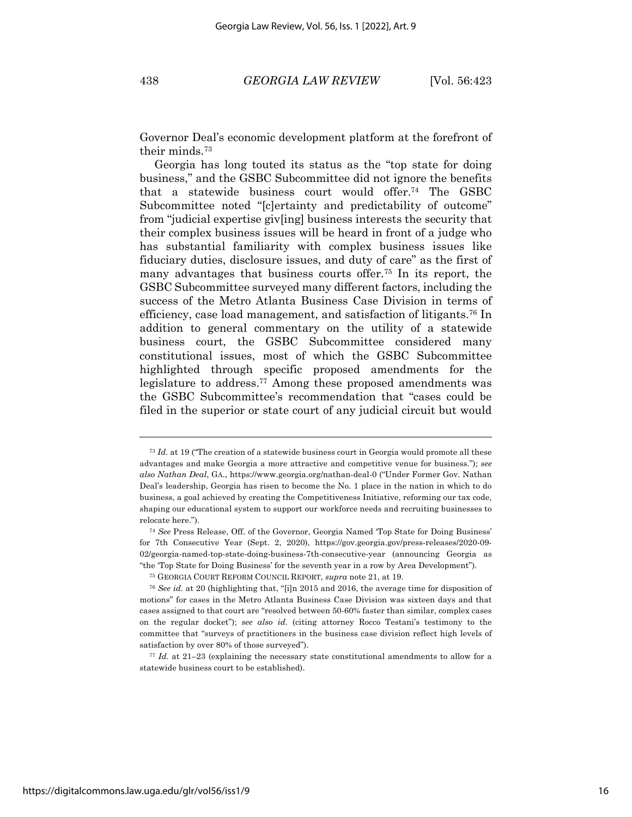Governor Deal's economic development platform at the forefront of their minds.73

Georgia has long touted its status as the "top state for doing business," and the GSBC Subcommittee did not ignore the benefits that a statewide business court would offer.74 The GSBC Subcommittee noted "[c]ertainty and predictability of outcome" from "judicial expertise giv[ing] business interests the security that their complex business issues will be heard in front of a judge who has substantial familiarity with complex business issues like fiduciary duties, disclosure issues, and duty of care" as the first of many advantages that business courts offer.75 In its report, the GSBC Subcommittee surveyed many different factors, including the success of the Metro Atlanta Business Case Division in terms of efficiency, case load management, and satisfaction of litigants.76 In addition to general commentary on the utility of a statewide business court, the GSBC Subcommittee considered many constitutional issues, most of which the GSBC Subcommittee highlighted through specific proposed amendments for the legislature to address.77 Among these proposed amendments was the GSBC Subcommittee's recommendation that "cases could be filed in the superior or state court of any judicial circuit but would

<sup>77</sup> *Id.* at 21–23 (explaining the necessary state constitutional amendments to allow for a statewide business court to be established).

<sup>73</sup> *Id.* at 19 ("The creation of a statewide business court in Georgia would promote all these advantages and make Georgia a more attractive and competitive venue for business."); *see also Nathan Deal*, GA., https://www.georgia.org/nathan-deal-0 ("Under Former Gov. Nathan Deal's leadership, Georgia has risen to become the No. 1 place in the nation in which to do business, a goal achieved by creating the Competitiveness Initiative, reforming our tax code, shaping our educational system to support our workforce needs and recruiting businesses to relocate here.").

<sup>74</sup> *See* Press Release, Off. of the Governor, Georgia Named 'Top State for Doing Business' for 7th Consecutive Year (Sept. 2, 2020), https://gov.georgia.gov/press-releases/2020-09- 02/georgia-named-top-state-doing-business-7th-consecutive-year (announcing Georgia as "the 'Top State for Doing Business' for the seventh year in a row by Area Development").

<sup>75</sup> GEORGIA COURT REFORM COUNCIL REPORT, *supra* note 21, at 19.

<sup>76</sup> *See id.* at 20 (highlighting that, "[i]n 2015 and 2016, the average time for disposition of motions" for cases in the Metro Atlanta Business Case Division was sixteen days and that cases assigned to that court are "resolved between 50-60% faster than similar, complex cases on the regular docket"); *see also id.* (citing attorney Rocco Testani's testimony to the committee that "surveys of practitioners in the business case division reflect high levels of satisfaction by over 80% of those surveyed").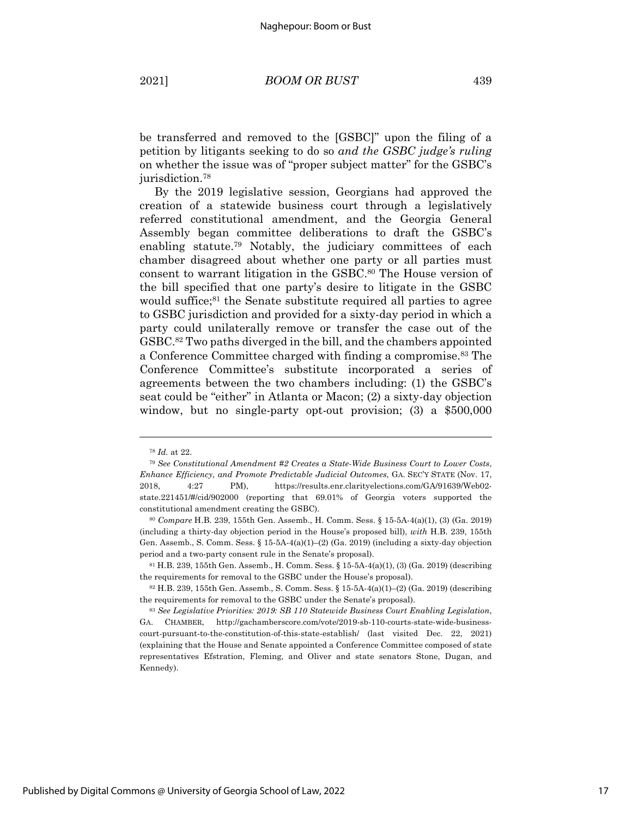be transferred and removed to the [GSBC]" upon the filing of a petition by litigants seeking to do so *and the GSBC judge's ruling* on whether the issue was of "proper subject matter" for the GSBC's jurisdiction.78

By the 2019 legislative session, Georgians had approved the creation of a statewide business court through a legislatively referred constitutional amendment, and the Georgia General Assembly began committee deliberations to draft the GSBC's enabling statute.<sup>79</sup> Notably, the judiciary committees of each chamber disagreed about whether one party or all parties must consent to warrant litigation in the GSBC.80 The House version of the bill specified that one party's desire to litigate in the GSBC would suffice;<sup>81</sup> the Senate substitute required all parties to agree to GSBC jurisdiction and provided for a sixty-day period in which a party could unilaterally remove or transfer the case out of the GSBC.82 Two paths diverged in the bill, and the chambers appointed a Conference Committee charged with finding a compromise. <sup>83</sup> The Conference Committee's substitute incorporated a series of agreements between the two chambers including: (1) the GSBC's seat could be "either" in Atlanta or Macon; (2) a sixty-day objection window, but no single-party opt-out provision; (3) a \$500,000

<sup>78</sup> *Id.* at 22.

<sup>79</sup> *See Constitutional Amendment #2 Creates a State-Wide Business Court to Lower Costs*, *Enhance Efficiency, and Promote Predictable Judicial Outcomes*, GA. SEC'Y STATE (Nov. 17, 2018, 4:27 PM), https://results.enr.clarityelections.com/GA/91639/Web02 state.221451/#/cid/902000 (reporting that 69.01% of Georgia voters supported the constitutional amendment creating the GSBC).

<sup>80</sup> *Compare* H.B. 239, 155th Gen. Assemb., H. Comm. Sess. § 15-5A-4(a)(1), (3) (Ga. 2019) (including a thirty-day objection period in the House's proposed bill), *with* H.B. 239, 155th Gen. Assemb., S. Comm. Sess. § 15-5A-4(a)(1)–(2) (Ga. 2019) (including a sixty-day objection period and a two-party consent rule in the Senate's proposal).

<sup>81</sup> H.B. 239, 155th Gen. Assemb., H. Comm. Sess. § 15-5A-4(a)(1), (3) (Ga. 2019) (describing the requirements for removal to the GSBC under the House's proposal).

<sup>82</sup> H.B. 239, 155th Gen. Assemb., S. Comm. Sess. § 15-5A-4(a)(1)–(2) (Ga. 2019) (describing the requirements for removal to the GSBC under the Senate's proposal).

<sup>83</sup> *See Legislative Priorities: 2019: SB 110 Statewide Business Court Enabling Legislation*, GA. CHAMBER, http://gachamberscore.com/vote/2019-sb-110-courts-state-wide-businesscourt-pursuant-to-the-constitution-of-this-state-establish/ (last visited Dec. 22, 2021) (explaining that the House and Senate appointed a Conference Committee composed of state representatives Efstration, Fleming, and Oliver and state senators Stone, Dugan, and Kennedy).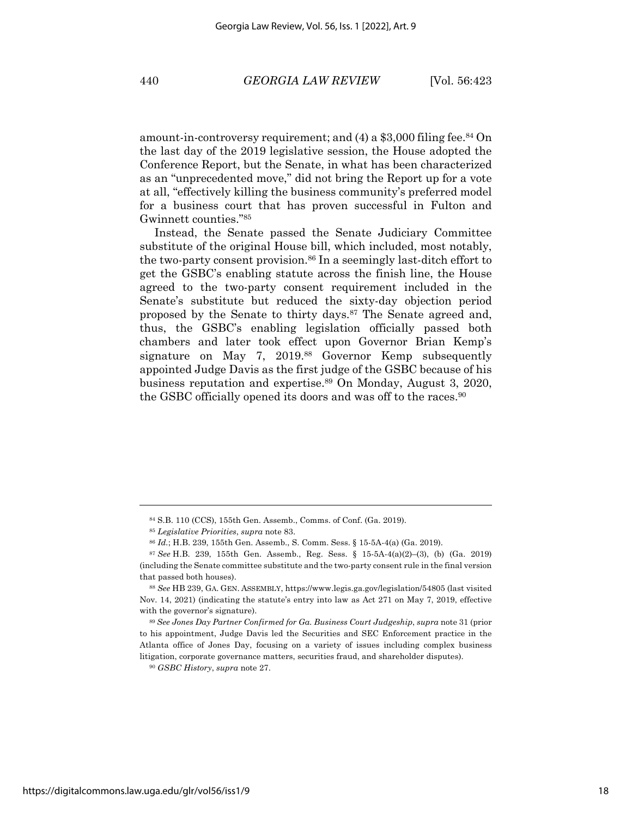amount-in-controversy requirement; and  $(4)$  a \$3,000 filing fee.<sup>84</sup> On the last day of the 2019 legislative session, the House adopted the Conference Report, but the Senate, in what has been characterized as an "unprecedented move," did not bring the Report up for a vote at all, "effectively killing the business community's preferred model for a business court that has proven successful in Fulton and Gwinnett counties."85

Instead, the Senate passed the Senate Judiciary Committee substitute of the original House bill, which included, most notably, the two-party consent provision.<sup>86</sup> In a seemingly last-ditch effort to get the GSBC's enabling statute across the finish line, the House agreed to the two-party consent requirement included in the Senate's substitute but reduced the sixty-day objection period proposed by the Senate to thirty days.87 The Senate agreed and, thus, the GSBC's enabling legislation officially passed both chambers and later took effect upon Governor Brian Kemp's signature on May 7, 2019.<sup>88</sup> Governor Kemp subsequently appointed Judge Davis as the first judge of the GSBC because of his business reputation and expertise.89 On Monday, August 3, 2020, the GSBC officially opened its doors and was off to the races.<sup>90</sup>

<sup>90</sup> *GSBC History*, *supra* note 27.

<sup>84</sup> S.B. 110 (CCS), 155th Gen. Assemb., Comms. of Conf. (Ga. 2019).

<sup>85</sup> *Legislative Priorities*, *supra* note 83.

<sup>86</sup> *Id.*; H.B. 239, 155th Gen. Assemb., S. Comm. Sess. § 15-5A-4(a) (Ga. 2019).

<sup>87</sup> *See* H.B. 239, 155th Gen. Assemb., Reg. Sess. § 15-5A-4(a)(2)–(3), (b) (Ga. 2019) (including the Senate committee substitute and the two-party consent rule in the final version that passed both houses).

<sup>88</sup> *See* HB 239, GA. GEN. ASSEMBLY, https://www.legis.ga.gov/legislation/54805 (last visited Nov. 14, 2021) (indicating the statute's entry into law as Act 271 on May 7, 2019, effective with the governor's signature).

<sup>89</sup> *See Jones Day Partner Confirmed for Ga. Business Court Judgeship*, *supra* note 31 (prior to his appointment, Judge Davis led the Securities and SEC Enforcement practice in the Atlanta office of Jones Day, focusing on a variety of issues including complex business litigation, corporate governance matters, securities fraud, and shareholder disputes).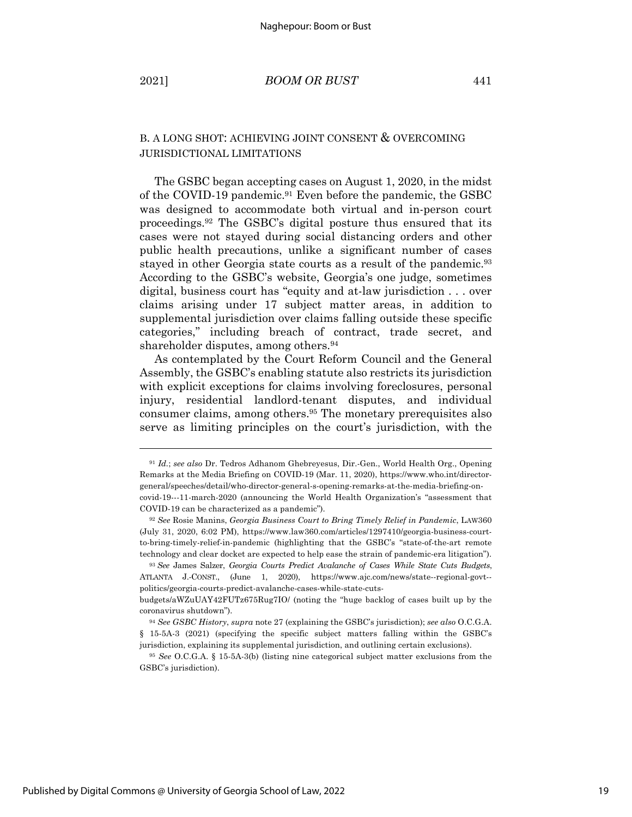# B. A LONG SHOT: ACHIEVING JOINT CONSENT & OVERCOMING JURISDICTIONAL LIMITATIONS

The GSBC began accepting cases on August 1, 2020, in the midst of the COVID-19 pandemic.<sup>91</sup> Even before the pandemic, the GSBC was designed to accommodate both virtual and in-person court proceedings.92 The GSBC's digital posture thus ensured that its cases were not stayed during social distancing orders and other public health precautions, unlike a significant number of cases stayed in other Georgia state courts as a result of the pandemic.93 According to the GSBC's website, Georgia's one judge, sometimes digital, business court has "equity and at-law jurisdiction . . . over claims arising under 17 subject matter areas, in addition to supplemental jurisdiction over claims falling outside these specific categories," including breach of contract, trade secret, and shareholder disputes, among others.<sup>94</sup>

As contemplated by the Court Reform Council and the General Assembly, the GSBC's enabling statute also restricts its jurisdiction with explicit exceptions for claims involving foreclosures, personal injury, residential landlord-tenant disputes, and individual consumer claims, among others.95 The monetary prerequisites also serve as limiting principles on the court's jurisdiction, with the

<sup>91</sup> *Id.*; *see also* Dr. Tedros Adhanom Ghebreyesus, Dir.-Gen., World Health Org., Opening Remarks at the Media Briefing on COVID-19 (Mar. 11, 2020), https://www.who.int/directorgeneral/speeches/detail/who-director-general-s-opening-remarks-at-the-media-briefing-oncovid-19---11-march-2020 (announcing the World Health Organization's "assessment that COVID-19 can be characterized as a pandemic").

<sup>92</sup> *See* Rosie Manins, *Georgia Business Court to Bring Timely Relief in Pandemic*, LAW360 (July 31, 2020, 6:02 PM), https://www.law360.com/articles/1297410/georgia-business-courtto-bring-timely-relief-in-pandemic (highlighting that the GSBC's "state-of-the-art remote technology and clear docket are expected to help ease the strain of pandemic-era litigation").

<sup>93</sup> *See* James Salzer, *Georgia Courts Predict Avalanche of Cases While State Cuts Budgets*, ATLANTA J.-CONST., (June 1, 2020), https://www.ajc.com/news/state--regional-govt- politics/georgia-courts-predict-avalanche-cases-while-state-cuts-

budgets/aWZuUAY42FUTz675Rug7IO/ (noting the "huge backlog of cases built up by the coronavirus shutdown").

<sup>94</sup> *See GSBC History*, *supra* note 27 (explaining the GSBC's jurisdiction); *see also* O.C.G.A. § 15-5A-3 (2021) (specifying the specific subject matters falling within the GSBC's jurisdiction, explaining its supplemental jurisdiction, and outlining certain exclusions).

<sup>95</sup> *See* O.C.G.A. § 15-5A-3(b) (listing nine categorical subject matter exclusions from the GSBC's jurisdiction).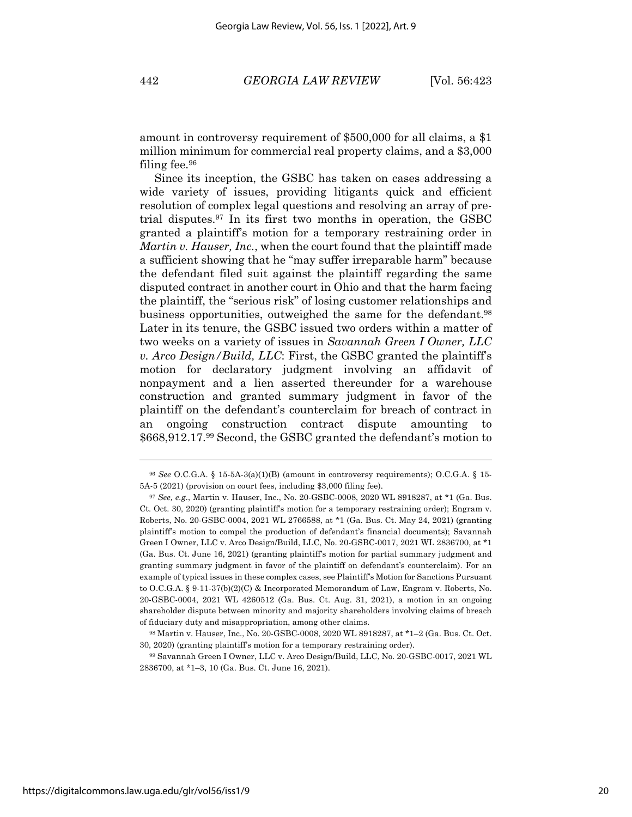amount in controversy requirement of \$500,000 for all claims, a \$1 million minimum for commercial real property claims, and a \$3,000 filing fee.96

Since its inception, the GSBC has taken on cases addressing a wide variety of issues, providing litigants quick and efficient resolution of complex legal questions and resolving an array of pretrial disputes.97 In its first two months in operation, the GSBC granted a plaintiff's motion for a temporary restraining order in *Martin v. Hauser, Inc.*, when the court found that the plaintiff made a sufficient showing that he "may suffer irreparable harm" because the defendant filed suit against the plaintiff regarding the same disputed contract in another court in Ohio and that the harm facing the plaintiff, the "serious risk" of losing customer relationships and business opportunities, outweighed the same for the defendant.98 Later in its tenure, the GSBC issued two orders within a matter of two weeks on a variety of issues in *Savannah Green I Owner, LLC v. Arco Design/Build, LLC*: First, the GSBC granted the plaintiff's motion for declaratory judgment involving an affidavit of nonpayment and a lien asserted thereunder for a warehouse construction and granted summary judgment in favor of the plaintiff on the defendant's counterclaim for breach of contract in an ongoing construction contract dispute amounting to \$668,912.17.99 Second, the GSBC granted the defendant's motion to

<sup>96</sup> *See* O.C.G.A. § 15-5A-3(a)(1)(B) (amount in controversy requirements); O.C.G.A. § 15- 5A-5 (2021) (provision on court fees, including \$3,000 filing fee).

<sup>97</sup> *See, e.g.*, Martin v. Hauser, Inc., No. 20-GSBC-0008, 2020 WL 8918287, at \*1 (Ga. Bus. Ct. Oct. 30, 2020) (granting plaintiff's motion for a temporary restraining order); Engram v. Roberts, No. 20-GSBC-0004, 2021 WL 2766588, at \*1 (Ga. Bus. Ct. May 24, 2021) (granting plaintiff's motion to compel the production of defendant's financial documents); Savannah Green I Owner, LLC v. Arco Design/Build, LLC, No. 20-GSBC-0017, 2021 WL 2836700, at \*1 (Ga. Bus. Ct. June 16, 2021) (granting plaintiff's motion for partial summary judgment and granting summary judgment in favor of the plaintiff on defendant's counterclaim). For an example of typical issues in these complex cases, see Plaintiff's Motion for Sanctions Pursuant to O.C.G.A. § 9-11-37(b)(2)(C) & Incorporated Memorandum of Law, Engram v. Roberts, No. 20-GSBC-0004, 2021 WL 4260512 (Ga. Bus. Ct. Aug. 31, 2021), a motion in an ongoing shareholder dispute between minority and majority shareholders involving claims of breach of fiduciary duty and misappropriation, among other claims.

<sup>98</sup> Martin v. Hauser, Inc., No. 20-GSBC-0008, 2020 WL 8918287, at \*1–2 (Ga. Bus. Ct. Oct. 30, 2020) (granting plaintiff's motion for a temporary restraining order).

<sup>99</sup> Savannah Green I Owner, LLC v. Arco Design/Build, LLC, No. 20-GSBC-0017, 2021 WL 2836700, at \*1–3, 10 (Ga. Bus. Ct. June 16, 2021).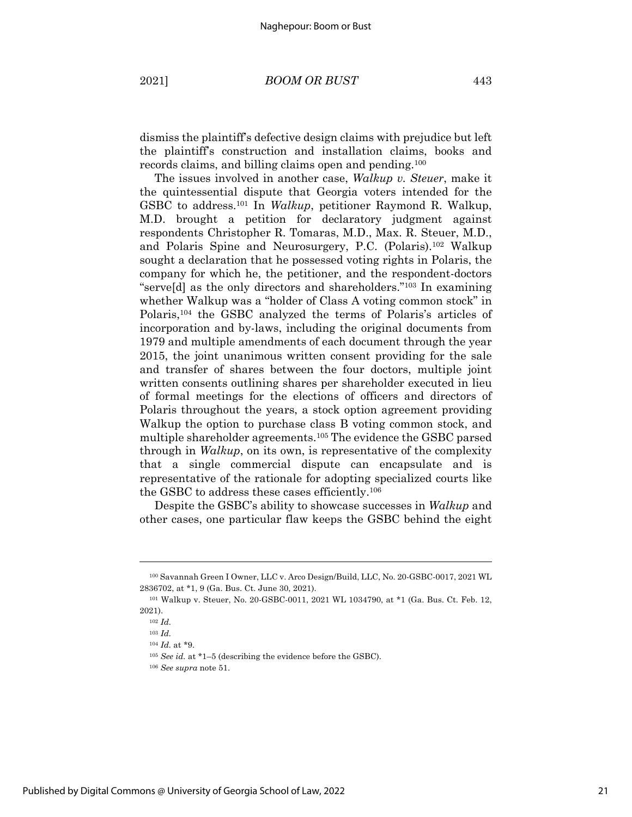dismiss the plaintiff's defective design claims with prejudice but left the plaintiff's construction and installation claims, books and records claims, and billing claims open and pending.100

The issues involved in another case, *Walkup v. Steuer*, make it the quintessential dispute that Georgia voters intended for the GSBC to address.101 In *Walkup*, petitioner Raymond R. Walkup, M.D. brought a petition for declaratory judgment against respondents Christopher R. Tomaras, M.D., Max. R. Steuer, M.D., and Polaris Spine and Neurosurgery, P.C. (Polaris).102 Walkup sought a declaration that he possessed voting rights in Polaris, the company for which he, the petitioner, and the respondent-doctors "serve[d] as the only directors and shareholders."103 In examining whether Walkup was a "holder of Class A voting common stock" in Polaris,104 the GSBC analyzed the terms of Polaris's articles of incorporation and by-laws, including the original documents from 1979 and multiple amendments of each document through the year 2015, the joint unanimous written consent providing for the sale and transfer of shares between the four doctors, multiple joint written consents outlining shares per shareholder executed in lieu of formal meetings for the elections of officers and directors of Polaris throughout the years, a stock option agreement providing Walkup the option to purchase class B voting common stock, and multiple shareholder agreements.105 The evidence the GSBC parsed through in *Walkup*, on its own, is representative of the complexity that a single commercial dispute can encapsulate and is representative of the rationale for adopting specialized courts like the GSBC to address these cases efficiently.106

Despite the GSBC's ability to showcase successes in *Walkup* and other cases, one particular flaw keeps the GSBC behind the eight

<sup>100</sup> Savannah Green I Owner, LLC v. Arco Design/Build, LLC, No. 20-GSBC-0017, 2021 WL 2836702, at \*1, 9 (Ga. Bus. Ct. June 30, 2021).

<sup>101</sup> Walkup v. Steuer, No. 20-GSBC-0011, 2021 WL 1034790, at \*1 (Ga. Bus. Ct. Feb. 12, 2021).

<sup>102</sup> *Id.*

<sup>103</sup> *Id.*

<sup>104</sup> *Id.* at \*9.

<sup>105</sup> *See id.* at \*1–5 (describing the evidence before the GSBC).

<sup>106</sup> *See supra* note 51.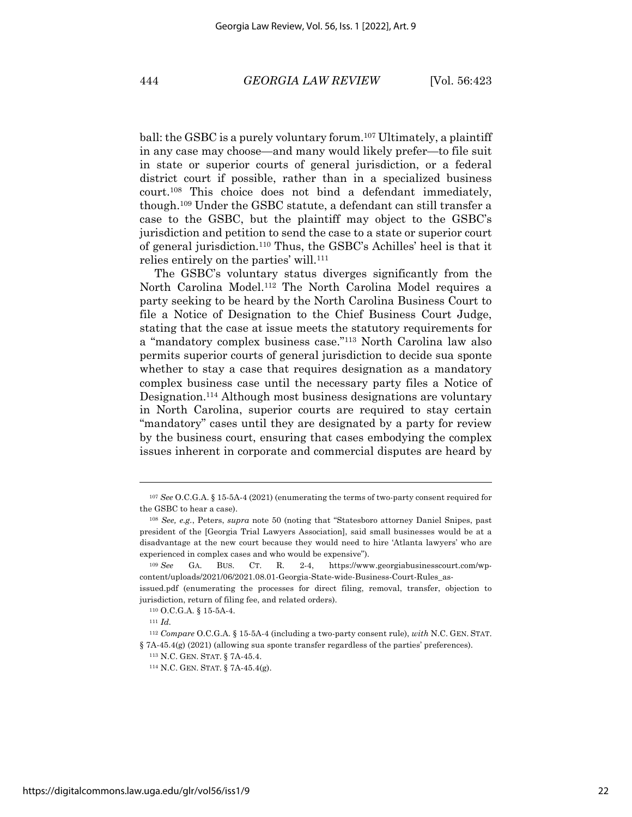ball: the GSBC is a purely voluntary forum.<sup>107</sup> Ultimately, a plaintiff in any case may choose—and many would likely prefer—to file suit in state or superior courts of general jurisdiction, or a federal district court if possible, rather than in a specialized business court.108 This choice does not bind a defendant immediately, though. <sup>109</sup> Under the GSBC statute, a defendant can still transfer a case to the GSBC, but the plaintiff may object to the GSBC's jurisdiction and petition to send the case to a state or superior court of general jurisdiction.110 Thus, the GSBC's Achilles' heel is that it relies entirely on the parties' will.<sup>111</sup>

The GSBC's voluntary status diverges significantly from the North Carolina Model.112 The North Carolina Model requires a party seeking to be heard by the North Carolina Business Court to file a Notice of Designation to the Chief Business Court Judge, stating that the case at issue meets the statutory requirements for a "mandatory complex business case."113 North Carolina law also permits superior courts of general jurisdiction to decide sua sponte whether to stay a case that requires designation as a mandatory complex business case until the necessary party files a Notice of Designation.114 Although most business designations are voluntary in North Carolina, superior courts are required to stay certain "mandatory" cases until they are designated by a party for review by the business court, ensuring that cases embodying the complex issues inherent in corporate and commercial disputes are heard by

<sup>107</sup> *See* O.C.G.A. § 15-5A-4 (2021) (enumerating the terms of two-party consent required for the GSBC to hear a case).

<sup>108</sup> *See, e.g.*, Peters, *supra* note 50 (noting that "Statesboro attorney Daniel Snipes, past president of the [Georgia Trial Lawyers Association], said small businesses would be at a disadvantage at the new court because they would need to hire 'Atlanta lawyers' who are experienced in complex cases and who would be expensive").

<sup>109</sup> *See* GA. BUS. CT. R. 2-4, https://www.georgiabusinesscourt.com/wpcontent/uploads/2021/06/2021.08.01-Georgia-State-wide-Business-Court-Rules\_as-

issued.pdf (enumerating the processes for direct filing, removal, transfer, objection to jurisdiction, return of filing fee, and related orders).

<sup>110</sup> O.C.G.A. § 15-5A-4.

<sup>111</sup> *Id.*

<sup>112</sup> *Compare* O.C.G.A. § 15-5A-4 (including a two-party consent rule), *with* N.C. GEN. STAT. § 7A-45.4(g) (2021) (allowing sua sponte transfer regardless of the parties' preferences).

<sup>113</sup> N.C. GEN. STAT. § 7A-45.4.

<sup>114</sup> N.C. GEN. STAT. § 7A-45.4(g).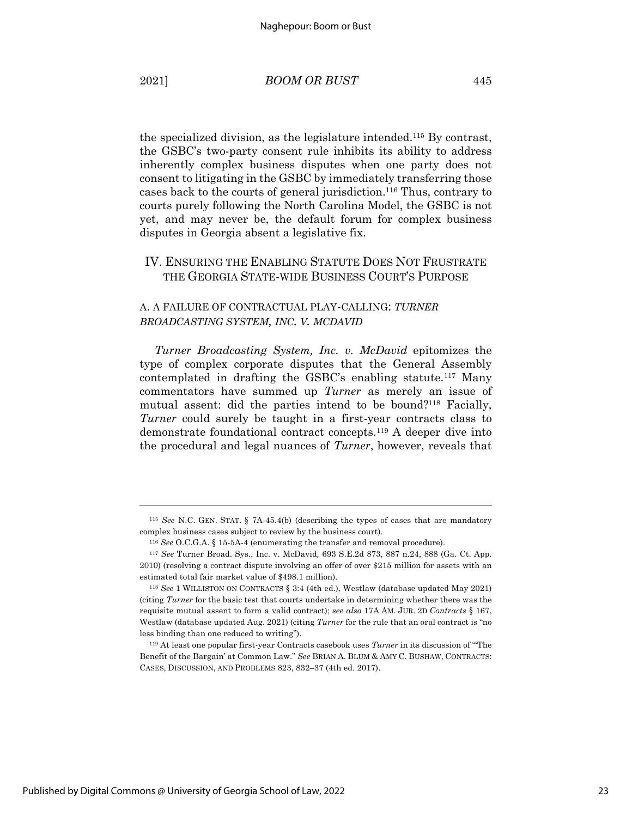the specialized division, as the legislature intended.115 By contrast, the GSBC's two-party consent rule inhibits its ability to address inherently complex business disputes when one party does not consent to litigating in the GSBC by immediately transferring those cases back to the courts of general jurisdiction. <sup>116</sup> Thus, contrary to courts purely following the North Carolina Model, the GSBC is not yet, and may never be, the default forum for complex business disputes in Georgia absent a legislative fix.

# IV. ENSURING THE ENABLING STATUTE DOES NOT FRUSTRATE THE GEORGIA STATE-WIDE BUSINESS COURT'S PURPOSE

# A. A FAILURE OF CONTRACTUAL PLAY-CALLING: *TURNER BROADCASTING SYSTEM, INC. V. MCDAVID*

*Turner Broadcasting System, Inc. v. McDavid* epitomizes the type of complex corporate disputes that the General Assembly contemplated in drafting the GSBC's enabling statute.117 Many commentators have summed up *Turner* as merely an issue of mutual assent: did the parties intend to be bound?<sup>118</sup> Facially, *Turner* could surely be taught in a first-year contracts class to demonstrate foundational contract concepts.119 A deeper dive into the procedural and legal nuances of *Turner*, however, reveals that

<sup>115</sup> *See* N.C. GEN. STAT. § 7A-45.4(b) (describing the types of cases that are mandatory complex business cases subject to review by the business court).

<sup>116</sup> *See* O.C.G.A. § 15-5A-4 (enumerating the transfer and removal procedure).

<sup>117</sup> *See* Turner Broad. Sys., Inc. v. McDavid*,* 693 S.E.2d 873, 887 n.24, 888 (Ga. Ct. App. 2010) (resolving a contract dispute involving an offer of over \$215 million for assets with an estimated total fair market value of \$498.1 million).

<sup>118</sup> *See* 1 WILLISTON ON CONTRACTS § 3:4 (4th ed.), Westlaw (database updated May 2021) (citing *Turner* for the basic test that courts undertake in determining whether there was the requisite mutual assent to form a valid contract); *see also* 17A AM. JUR. 2D *Contracts* § 167, Westlaw (database updated Aug. 2021) (citing *Turner* for the rule that an oral contract is "no less binding than one reduced to writing").

<sup>119</sup> At least one popular first-year Contracts casebook uses *Turner* in its discussion of "'The Benefit of the Bargain' at Common Law." *See* BRIAN A. BLUM & AMY C. BUSHAW, CONTRACTS: CASES, DISCUSSION, AND PROBLEMS 823, 832–37 (4th ed. 2017).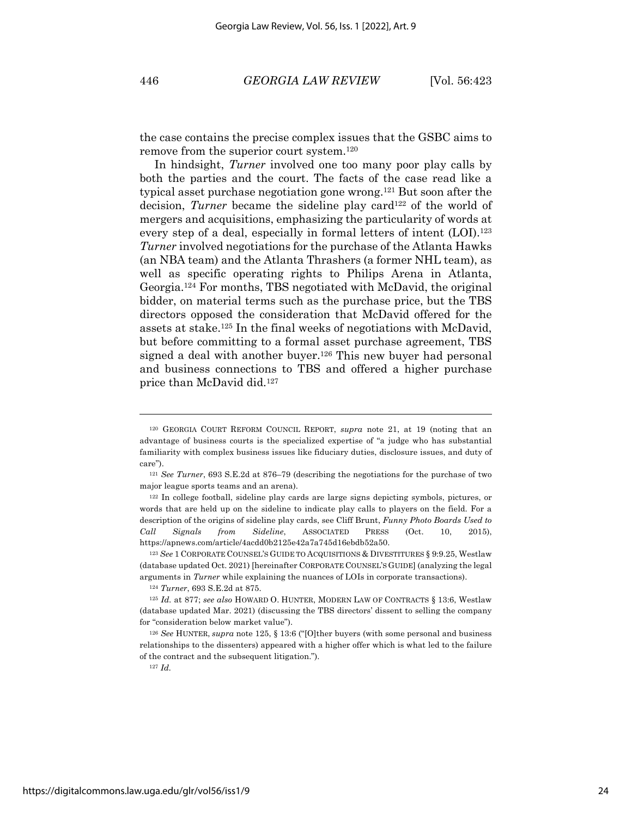the case contains the precise complex issues that the GSBC aims to remove from the superior court system. 120

In hindsight, *Turner* involved one too many poor play calls by both the parties and the court. The facts of the case read like a typical asset purchase negotiation gone wrong.121 But soon after the decision, *Turner* became the sideline play card<sup>122</sup> of the world of mergers and acquisitions, emphasizing the particularity of words at every step of a deal, especially in formal letters of intent (LOI).<sup>123</sup> *Turner* involved negotiations for the purchase of the Atlanta Hawks (an NBA team) and the Atlanta Thrashers (a former NHL team), as well as specific operating rights to Philips Arena in Atlanta, Georgia.124 For months, TBS negotiated with McDavid, the original bidder, on material terms such as the purchase price, but the TBS directors opposed the consideration that McDavid offered for the assets at stake.125 In the final weeks of negotiations with McDavid, but before committing to a formal asset purchase agreement, TBS signed a deal with another buyer.<sup>126</sup> This new buyer had personal and business connections to TBS and offered a higher purchase price than McDavid did. 127

<sup>120</sup> GEORGIA COURT REFORM COUNCIL REPORT, *supra* note 21, at 19 (noting that an advantage of business courts is the specialized expertise of "a judge who has substantial familiarity with complex business issues like fiduciary duties, disclosure issues, and duty of care").

<sup>121</sup> *See Turner*, 693 S.E.2d at 876–79 (describing the negotiations for the purchase of two major league sports teams and an arena).

<sup>122</sup> In college football, sideline play cards are large signs depicting symbols, pictures, or words that are held up on the sideline to indicate play calls to players on the field. For a description of the origins of sideline play cards, see Cliff Brunt, *Funny Photo Boards Used to Call Signals from Sideline*, ASSOCIATED PRESS (Oct. 10, 2015), https://apnews.com/article/4acdd0b2125e42a7a745d16ebdb52a50.

<sup>123</sup> *See* 1 CORPORATE COUNSEL'S GUIDE TO ACQUISITIONS & DIVESTITURES § 9:9.25, Westlaw (database updated Oct. 2021) [hereinafter CORPORATE COUNSEL'S GUIDE] (analyzing the legal arguments in *Turner* while explaining the nuances of LOIs in corporate transactions).

<sup>124</sup> *Turner*, 693 S.E.2d at 875.

<sup>125</sup> *Id.* at 877; *see also* HOWARD O. HUNTER, MODERN LAW OF CONTRACTS § 13:6, Westlaw (database updated Mar. 2021) (discussing the TBS directors' dissent to selling the company for "consideration below market value").

<sup>126</sup> *See* HUNTER, *supra* note 125, § 13:6 ("[O]ther buyers (with some personal and business relationships to the dissenters) appeared with a higher offer which is what led to the failure of the contract and the subsequent litigation.").

<sup>127</sup> *Id.*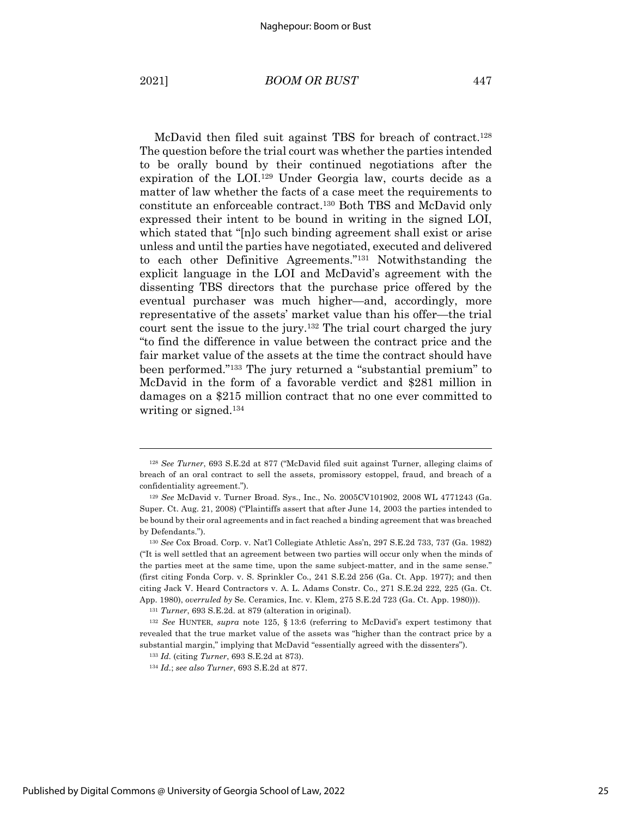McDavid then filed suit against TBS for breach of contract.<sup>128</sup> The question before the trial court was whether the parties intended to be orally bound by their continued negotiations after the expiration of the LOI. <sup>129</sup> Under Georgia law, courts decide as a matter of law whether the facts of a case meet the requirements to constitute an enforceable contract.130 Both TBS and McDavid only expressed their intent to be bound in writing in the signed LOI, which stated that "[n]o such binding agreement shall exist or arise unless and until the parties have negotiated, executed and delivered to each other Definitive Agreements."131 Notwithstanding the explicit language in the LOI and McDavid's agreement with the dissenting TBS directors that the purchase price offered by the eventual purchaser was much higher—and, accordingly, more representative of the assets' market value than his offer—the trial court sent the issue to the jury.132 The trial court charged the jury "to find the difference in value between the contract price and the fair market value of the assets at the time the contract should have been performed."133 The jury returned a "substantial premium" to McDavid in the form of a favorable verdict and \$281 million in damages on a \$215 million contract that no one ever committed to writing or signed.134

<sup>128</sup> *See Turner*, 693 S.E.2d at 877 ("McDavid filed suit against Turner, alleging claims of breach of an oral contract to sell the assets, promissory estoppel, fraud, and breach of a confidentiality agreement.").

<sup>129</sup> *See* McDavid v. Turner Broad. Sys., Inc., No. 2005CV101902, 2008 WL 4771243 (Ga. Super. Ct. Aug. 21, 2008) ("Plaintiffs assert that after June 14, 2003 the parties intended to be bound by their oral agreements and in fact reached a binding agreement that was breached by Defendants.").

<sup>130</sup> *See* Cox Broad. Corp. v. Nat'l Collegiate Athletic Ass'n, 297 S.E.2d 733, 737 (Ga. 1982) ("It is well settled that an agreement between two parties will occur only when the minds of the parties meet at the same time, upon the same subject-matter, and in the same sense." (first citing Fonda Corp. v. S. Sprinkler Co*.*, 241 S.E.2d 256 (Ga. Ct. App. 1977); and then citing Jack V. Heard Contractors v. A. L. Adams Constr. Co., 271 S.E.2d 222, 225 (Ga. Ct. App. 1980), *overruled by* Se. Ceramics, Inc. v. Klem, 275 S.E.2d 723 (Ga. Ct. App. 1980))).

<sup>131</sup> *Turner*, 693 S.E.2d. at 879 (alteration in original).

<sup>132</sup> *See* HUNTER, *supra* note 125, § 13:6 (referring to McDavid's expert testimony that revealed that the true market value of the assets was "higher than the contract price by a substantial margin," implying that McDavid "essentially agreed with the dissenters").

<sup>133</sup> *Id.* (citing *Turner*, 693 S.E.2d at 873).

<sup>134</sup> *Id.*; *see also Turner*, 693 S.E.2d at 877.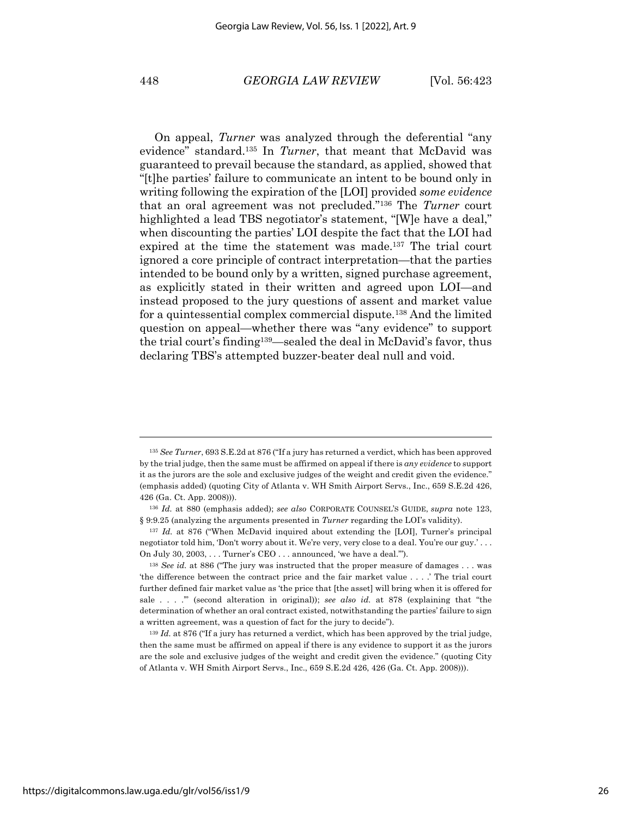#### 448 *GEORGIA LAW REVIEW* [Vol. 56:423

On appeal, *Turner* was analyzed through the deferential "any evidence" standard. <sup>135</sup> In *Turner*, that meant that McDavid was guaranteed to prevail because the standard, as applied, showed that "[t]he parties' failure to communicate an intent to be bound only in writing following the expiration of the [LOI] provided *some evidence* that an oral agreement was not precluded."136 The *Turner* court highlighted a lead TBS negotiator's statement, "[W]e have a deal," when discounting the parties' LOI despite the fact that the LOI had expired at the time the statement was made.137 The trial court ignored a core principle of contract interpretation—that the parties intended to be bound only by a written, signed purchase agreement, as explicitly stated in their written and agreed upon LOI—and instead proposed to the jury questions of assent and market value for a quintessential complex commercial dispute.138 And the limited question on appeal—whether there was "any evidence" to support the trial court's finding139—sealed the deal in McDavid's favor, thus declaring TBS's attempted buzzer-beater deal null and void.

<sup>135</sup> *See Turner*, 693 S.E.2d at 876 ("If a jury has returned a verdict, which has been approved by the trial judge, then the same must be affirmed on appeal if there is *any evidence* to support it as the jurors are the sole and exclusive judges of the weight and credit given the evidence." (emphasis added) (quoting City of Atlanta v. WH Smith Airport Servs., Inc., 659 S.E.2d 426, 426 (Ga. Ct. App. 2008))).

<sup>136</sup> *Id.* at 880 (emphasis added); *see also* CORPORATE COUNSEL'S GUIDE, *supra* note 123, § 9:9.25 (analyzing the arguments presented in *Turner* regarding the LOI's validity).

<sup>137</sup> *Id.* at 876 ("When McDavid inquired about extending the [LOI], Turner's principal negotiator told him, 'Don't worry about it. We're very, very close to a deal. You're our guy.' . . . On July 30, 2003, . . . Turner's CEO . . . announced, 'we have a deal.'").

<sup>138</sup> *See id.* at 886 ("The jury was instructed that the proper measure of damages . . . was 'the difference between the contract price and the fair market value . . . .' The trial court further defined fair market value as 'the price that [the asset] will bring when it is offered for sale . . . .'" (second alteration in original)); *see also id.* at 878 (explaining that "the determination of whether an oral contract existed, notwithstanding the parties' failure to sign a written agreement, was a question of fact for the jury to decide").

<sup>&</sup>lt;sup>139</sup> *Id.* at 876 ("If a jury has returned a verdict, which has been approved by the trial judge, then the same must be affirmed on appeal if there is any evidence to support it as the jurors are the sole and exclusive judges of the weight and credit given the evidence." (quoting City of Atlanta v. WH Smith Airport Servs., Inc., 659 S.E.2d 426, 426 (Ga. Ct. App. 2008))).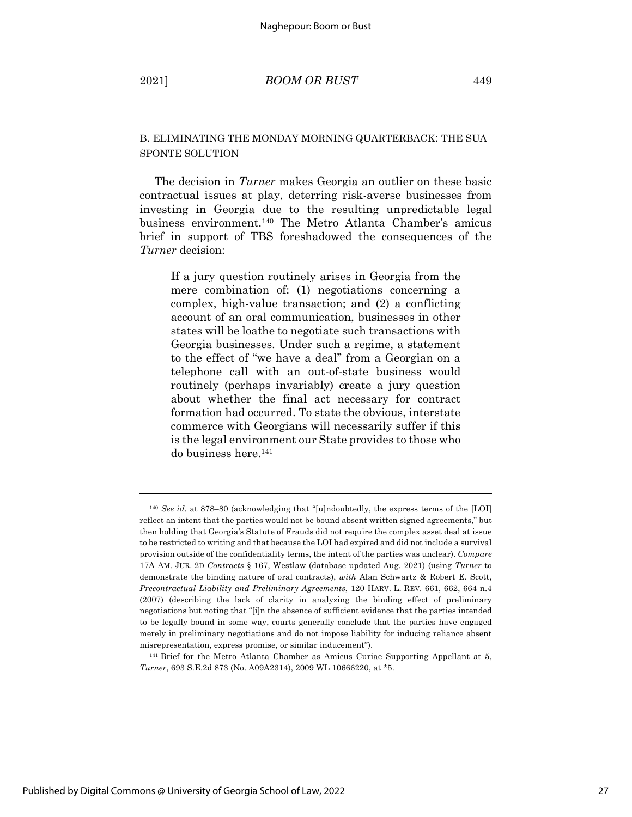### B. ELIMINATING THE MONDAY MORNING QUARTERBACK: THE SUA SPONTE SOLUTION

The decision in *Turner* makes Georgia an outlier on these basic contractual issues at play, deterring risk-averse businesses from investing in Georgia due to the resulting unpredictable legal business environment.140 The Metro Atlanta Chamber's amicus brief in support of TBS foreshadowed the consequences of the *Turner* decision:

If a jury question routinely arises in Georgia from the mere combination of: (1) negotiations concerning a complex, high-value transaction; and (2) a conflicting account of an oral communication, businesses in other states will be loathe to negotiate such transactions with Georgia businesses. Under such a regime, a statement to the effect of "we have a deal" from a Georgian on a telephone call with an out-of-state business would routinely (perhaps invariably) create a jury question about whether the final act necessary for contract formation had occurred. To state the obvious, interstate commerce with Georgians will necessarily suffer if this is the legal environment our State provides to those who do business here.141

<sup>140</sup> *See id.* at 878–80 (acknowledging that "[u]ndoubtedly, the express terms of the [LOI] reflect an intent that the parties would not be bound absent written signed agreements," but then holding that Georgia's Statute of Frauds did not require the complex asset deal at issue to be restricted to writing and that because the LOI had expired and did not include a survival provision outside of the confidentiality terms, the intent of the parties was unclear). *Compare* 17A AM. JUR. 2D *Contracts* § 167, Westlaw (database updated Aug. 2021) (using *Turner* to demonstrate the binding nature of oral contracts), *with* Alan Schwartz & Robert E. Scott, *Precontractual Liability and Preliminary Agreements*, 120 HARV. L. REV. 661, 662, 664 n.4 (2007) (describing the lack of clarity in analyzing the binding effect of preliminary negotiations but noting that "[i]n the absence of sufficient evidence that the parties intended to be legally bound in some way, courts generally conclude that the parties have engaged merely in preliminary negotiations and do not impose liability for inducing reliance absent misrepresentation, express promise, or similar inducement").

<sup>141</sup> Brief for the Metro Atlanta Chamber as Amicus Curiae Supporting Appellant at 5, *Turner*, 693 S.E.2d 873 (No. A09A2314), 2009 WL 10666220, at \*5.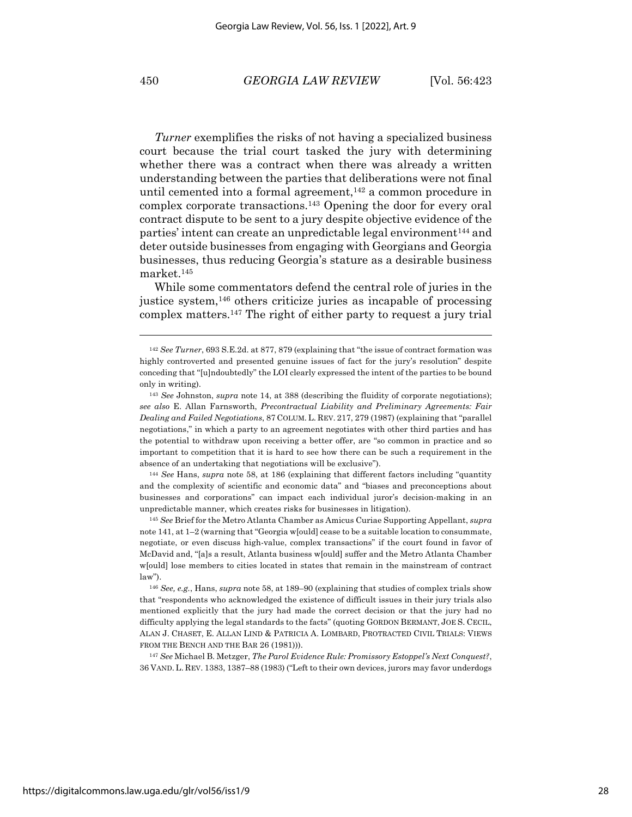*Turner* exemplifies the risks of not having a specialized business court because the trial court tasked the jury with determining whether there was a contract when there was already a written understanding between the parties that deliberations were not final until cemented into a formal agreement, $142$  a common procedure in complex corporate transactions.143 Opening the door for every oral contract dispute to be sent to a jury despite objective evidence of the parties' intent can create an unpredictable legal environment<sup>144</sup> and deter outside businesses from engaging with Georgians and Georgia businesses, thus reducing Georgia's stature as a desirable business market.145

While some commentators defend the central role of juries in the justice system,146 others criticize juries as incapable of processing complex matters.147 The right of either party to request a jury trial

<sup>144</sup> *See* Hans, *supra* note 58, at 186 (explaining that different factors including "quantity and the complexity of scientific and economic data" and "biases and preconceptions about businesses and corporations" can impact each individual juror's decision-making in an unpredictable manner, which creates risks for businesses in litigation).

<sup>145</sup> *See* Brief for the Metro Atlanta Chamber as Amicus Curiae Supporting Appellant, *supra* note 141, at 1–2 (warning that "Georgia w[ould] cease to be a suitable location to consummate, negotiate, or even discuss high-value, complex transactions" if the court found in favor of McDavid and, "[a]s a result, Atlanta business w[ould] suffer and the Metro Atlanta Chamber w[ould] lose members to cities located in states that remain in the mainstream of contract law").

<sup>146</sup> *See, e.g.*, Hans, *supra* note 58, at 189–90 (explaining that studies of complex trials show that "respondents who acknowledged the existence of difficult issues in their jury trials also mentioned explicitly that the jury had made the correct decision or that the jury had no difficulty applying the legal standards to the facts" (quoting GORDON BERMANT, JOE S. CECIL, ALAN J. CHASET, E. ALLAN LIND & PATRICIA A. LOMBARD, PROTRACTED CIVIL TRIALS: VIEWS FROM THE BENCH AND THE BAR 26 (1981))).

<sup>147</sup> *See* Michael B. Metzger, *The Parol Evidence Rule: Promissory Estoppel's Next Conquest?*, 36 VAND. L. REV. 1383, 1387–88 (1983) ("Left to their own devices, jurors may favor underdogs

<sup>142</sup> *See Turner*, 693 S.E.2d. at 877, 879 (explaining that "the issue of contract formation was highly controverted and presented genuine issues of fact for the jury's resolution" despite conceding that "[u]ndoubtedly" the LOI clearly expressed the intent of the parties to be bound only in writing).

<sup>143</sup> *See* Johnston, *supra* note 14, at 388 (describing the fluidity of corporate negotiations); *see also* E. Allan Farnsworth, *Precontractual Liability and Preliminary Agreements: Fair Dealing and Failed Negotiations*, 87 COLUM. L. REV. 217, 279 (1987) (explaining that "parallel negotiations," in which a party to an agreement negotiates with other third parties and has the potential to withdraw upon receiving a better offer, are "so common in practice and so important to competition that it is hard to see how there can be such a requirement in the absence of an undertaking that negotiations will be exclusive").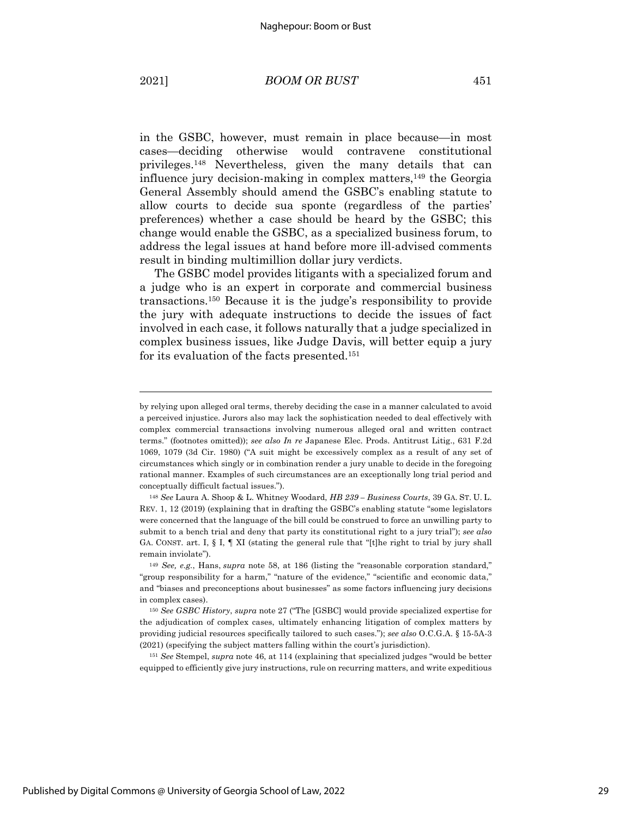in the GSBC, however, must remain in place because—in most cases—deciding otherwise would contravene constitutional privileges.148 Nevertheless, given the many details that can influence jury decision-making in complex matters, $149$  the Georgia General Assembly should amend the GSBC's enabling statute to allow courts to decide sua sponte (regardless of the parties' preferences) whether a case should be heard by the GSBC; this change would enable the GSBC, as a specialized business forum, to address the legal issues at hand before more ill-advised comments result in binding multimillion dollar jury verdicts.

The GSBC model provides litigants with a specialized forum and a judge who is an expert in corporate and commercial business transactions.150 Because it is the judge's responsibility to provide the jury with adequate instructions to decide the issues of fact involved in each case, it follows naturally that a judge specialized in complex business issues, like Judge Davis, will better equip a jury for its evaluation of the facts presented.151

<sup>151</sup> *See* Stempel, *supra* note 46, at 114 (explaining that specialized judges "would be better equipped to efficiently give jury instructions, rule on recurring matters, and write expeditious

by relying upon alleged oral terms, thereby deciding the case in a manner calculated to avoid a perceived injustice. Jurors also may lack the sophistication needed to deal effectively with complex commercial transactions involving numerous alleged oral and written contract terms." (footnotes omitted)); *see also In re* Japanese Elec. Prods. Antitrust Litig., 631 F.2d 1069, 1079 (3d Cir. 1980) ("A suit might be excessively complex as a result of any set of circumstances which singly or in combination render a jury unable to decide in the foregoing rational manner. Examples of such circumstances are an exceptionally long trial period and conceptually difficult factual issues.").

<sup>148</sup> *See* Laura A. Shoop & L. Whitney Woodard, *HB 239 – Business Courts*, 39 GA. ST. U. L. REV. 1, 12 (2019) (explaining that in drafting the GSBC's enabling statute "some legislators were concerned that the language of the bill could be construed to force an unwilling party to submit to a bench trial and deny that party its constitutional right to a jury trial"); *see also* GA. CONST. art. I, § I, ¶ XI (stating the general rule that "[t]he right to trial by jury shall remain inviolate").

<sup>149</sup> *See, e.g.*, Hans, *supra* note 58, at 186 (listing the "reasonable corporation standard," "group responsibility for a harm," "nature of the evidence," "scientific and economic data," and "biases and preconceptions about businesses" as some factors influencing jury decisions in complex cases).

<sup>150</sup> *See GSBC History*, *supra* note 27 ("The [GSBC] would provide specialized expertise for the adjudication of complex cases, ultimately enhancing litigation of complex matters by providing judicial resources specifically tailored to such cases."); *see also* O.C.G.A. § 15-5A-3 (2021) (specifying the subject matters falling within the court's jurisdiction).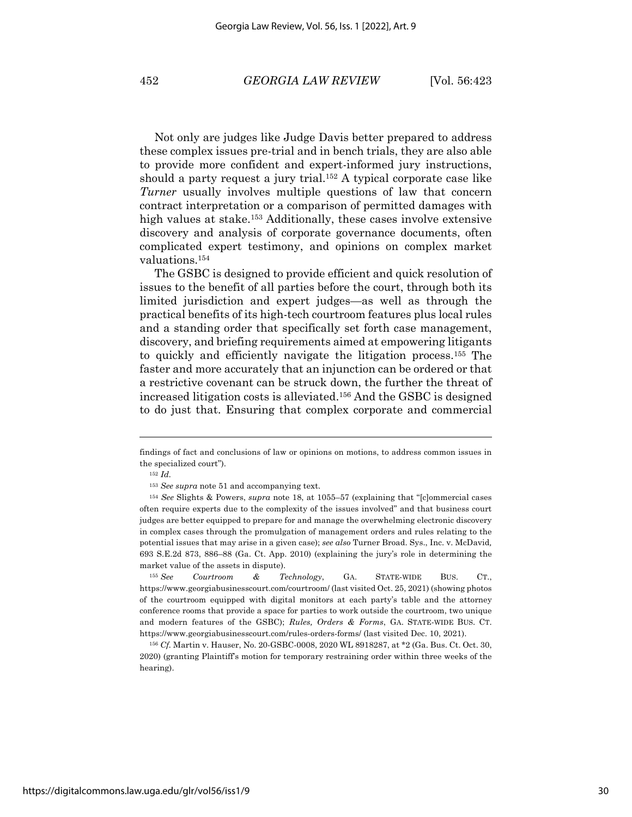Not only are judges like Judge Davis better prepared to address these complex issues pre-trial and in bench trials, they are also able to provide more confident and expert-informed jury instructions, should a party request a jury trial.<sup>152</sup> A typical corporate case like *Turner* usually involves multiple questions of law that concern contract interpretation or a comparison of permitted damages with high values at stake.<sup>153</sup> Additionally, these cases involve extensive discovery and analysis of corporate governance documents, often complicated expert testimony, and opinions on complex market valuations.154

The GSBC is designed to provide efficient and quick resolution of issues to the benefit of all parties before the court, through both its limited jurisdiction and expert judges—as well as through the practical benefits of its high-tech courtroom features plus local rules and a standing order that specifically set forth case management, discovery, and briefing requirements aimed at empowering litigants to quickly and efficiently navigate the litigation process.155 The faster and more accurately that an injunction can be ordered or that a restrictive covenant can be struck down, the further the threat of increased litigation costs is alleviated. <sup>156</sup> And the GSBC is designed to do just that. Ensuring that complex corporate and commercial

findings of fact and conclusions of law or opinions on motions, to address common issues in the specialized court").

<sup>152</sup> *Id.*

<sup>153</sup> *See supra* note 51 and accompanying text.

<sup>154</sup> *See* Slights & Powers, *supra* note 18, at 1055–57 (explaining that "[c]ommercial cases often require experts due to the complexity of the issues involved" and that business court judges are better equipped to prepare for and manage the overwhelming electronic discovery in complex cases through the promulgation of management orders and rules relating to the potential issues that may arise in a given case); *see also* Turner Broad. Sys., Inc. v. McDavid*,*  693 S.E.2d 873, 886–88 (Ga. Ct. App. 2010) (explaining the jury's role in determining the market value of the assets in dispute).

<sup>155</sup> *See Courtroom & Technology*, GA. STATE-WIDE BUS. CT., https://www.georgiabusinesscourt.com/courtroom/ (last visited Oct. 25, 2021) (showing photos of the courtroom equipped with digital monitors at each party's table and the attorney conference rooms that provide a space for parties to work outside the courtroom, two unique and modern features of the GSBC); *Rules, Orders & Forms*, GA. STATE-WIDE BUS. CT. https://www.georgiabusinesscourt.com/rules-orders-forms/ (last visited Dec. 10, 2021).

<sup>156</sup> *Cf.* Martin v. Hauser, No. 20-GSBC-0008, 2020 WL 8918287, at \*2 (Ga. Bus. Ct. Oct. 30, 2020) (granting Plaintiff's motion for temporary restraining order within three weeks of the hearing).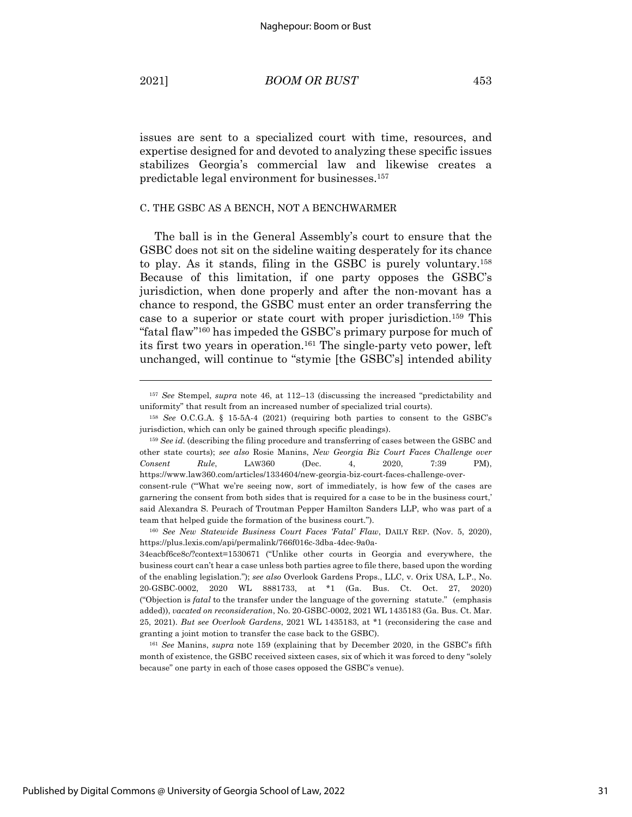issues are sent to a specialized court with time, resources, and expertise designed for and devoted to analyzing these specific issues stabilizes Georgia's commercial law and likewise creates a predictable legal environment for businesses. 157

#### C. THE GSBC AS A BENCH, NOT A BENCHWARMER

The ball is in the General Assembly's court to ensure that the GSBC does not sit on the sideline waiting desperately for its chance to play. As it stands, filing in the GSBC is purely voluntary.158 Because of this limitation, if one party opposes the GSBC's jurisdiction, when done properly and after the non-movant has a chance to respond, the GSBC must enter an order transferring the case to a superior or state court with proper jurisdiction.159 This "fatal flaw"160 has impeded the GSBC's primary purpose for much of its first two years in operation.161 The single-party veto power, left unchanged, will continue to "stymie [the GSBC's] intended ability

<sup>157</sup> *See* Stempel, *supra* note 46, at 112–13 (discussing the increased "predictability and uniformity" that result from an increased number of specialized trial courts).

<sup>158</sup> *See* O.C.G.A. § 15-5A-4 (2021) (requiring both parties to consent to the GSBC's jurisdiction, which can only be gained through specific pleadings).

<sup>&</sup>lt;sup>159</sup> See id. (describing the filing procedure and transferring of cases between the GSBC and other state courts); *see also* Rosie Manins, *New Georgia Biz Court Faces Challenge over Consent Rule*, LAW360 (Dec. 4, 2020, 7:39 PM), https://www.law360.com/articles/1334604/new-georgia-biz-court-faces-challenge-overconsent-rule ("'What we're seeing now, sort of immediately, is how few of the cases are garnering the consent from both sides that is required for a case to be in the business court,' said Alexandra S. Peurach of Troutman Pepper Hamilton Sanders LLP, who was part of a team that helped guide the formation of the business court.").

<sup>160</sup> *See New Statewide Business Court Faces 'Fatal' Flaw*, DAILY REP. (Nov. 5, 2020), https://plus.lexis.com/api/permalink/766f016c-3dba-4dec-9a0a-

<sup>34</sup>eacbf6ce8c/?context=1530671 ("Unlike other courts in Georgia and everywhere, the business court can't hear a case unless both parties agree to file there, based upon the wording of the enabling legislation."); *see also* Overlook Gardens Props., LLC, v. Orix USA, L.P., No. 20-GSBC-0002, 2020 WL 8881733, at \*1 (Ga. Bus. Ct. Oct. 27, 2020) ("Objection is *fatal* to the transfer under the language of the governing statute." (emphasis added)), *vacated on reconsideration*, No. 20-GSBC-0002, 2021 WL 1435183 (Ga. Bus. Ct. Mar. 25, 2021). *But see Overlook Gardens*, 2021 WL 1435183, at \*1 (reconsidering the case and granting a joint motion to transfer the case back to the GSBC).

<sup>161</sup> *See* Manins, *supra* note 159 (explaining that by December 2020, in the GSBC's fifth month of existence, the GSBC received sixteen cases, six of which it was forced to deny "solely because" one party in each of those cases opposed the GSBC's venue).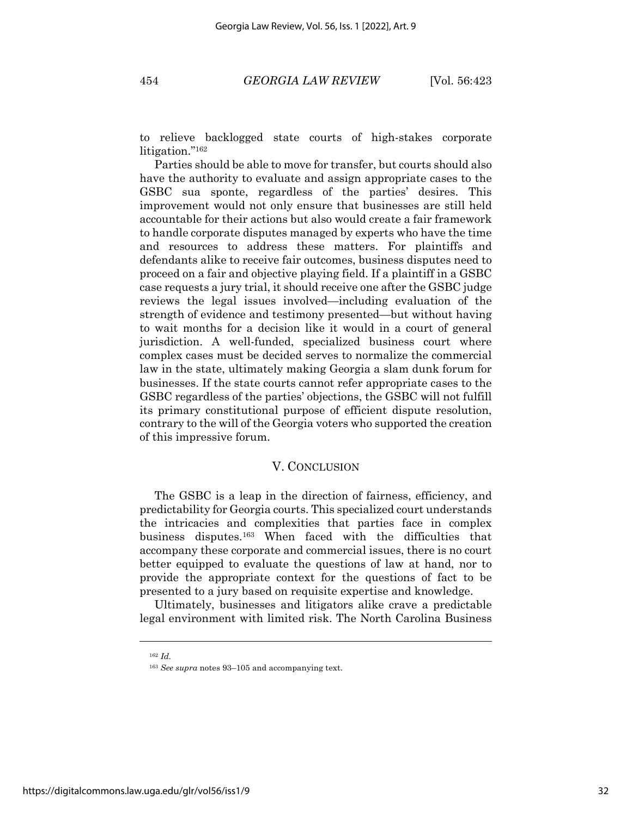to relieve backlogged state courts of high-stakes corporate litigation."162

Parties should be able to move for transfer, but courts should also have the authority to evaluate and assign appropriate cases to the GSBC sua sponte, regardless of the parties' desires. This improvement would not only ensure that businesses are still held accountable for their actions but also would create a fair framework to handle corporate disputes managed by experts who have the time and resources to address these matters. For plaintiffs and defendants alike to receive fair outcomes, business disputes need to proceed on a fair and objective playing field. If a plaintiff in a GSBC case requests a jury trial, it should receive one after the GSBC judge reviews the legal issues involved—including evaluation of the strength of evidence and testimony presented—but without having to wait months for a decision like it would in a court of general jurisdiction. A well-funded, specialized business court where complex cases must be decided serves to normalize the commercial law in the state, ultimately making Georgia a slam dunk forum for businesses. If the state courts cannot refer appropriate cases to the GSBC regardless of the parties' objections, the GSBC will not fulfill its primary constitutional purpose of efficient dispute resolution, contrary to the will of the Georgia voters who supported the creation of this impressive forum.

#### V. CONCLUSION

The GSBC is a leap in the direction of fairness, efficiency, and predictability for Georgia courts. This specialized court understands the intricacies and complexities that parties face in complex business disputes.163 When faced with the difficulties that accompany these corporate and commercial issues, there is no court better equipped to evaluate the questions of law at hand, nor to provide the appropriate context for the questions of fact to be presented to a jury based on requisite expertise and knowledge.

Ultimately, businesses and litigators alike crave a predictable legal environment with limited risk. The North Carolina Business

<sup>162</sup> *Id.*

<sup>163</sup> *See supra* notes 93–105 and accompanying text.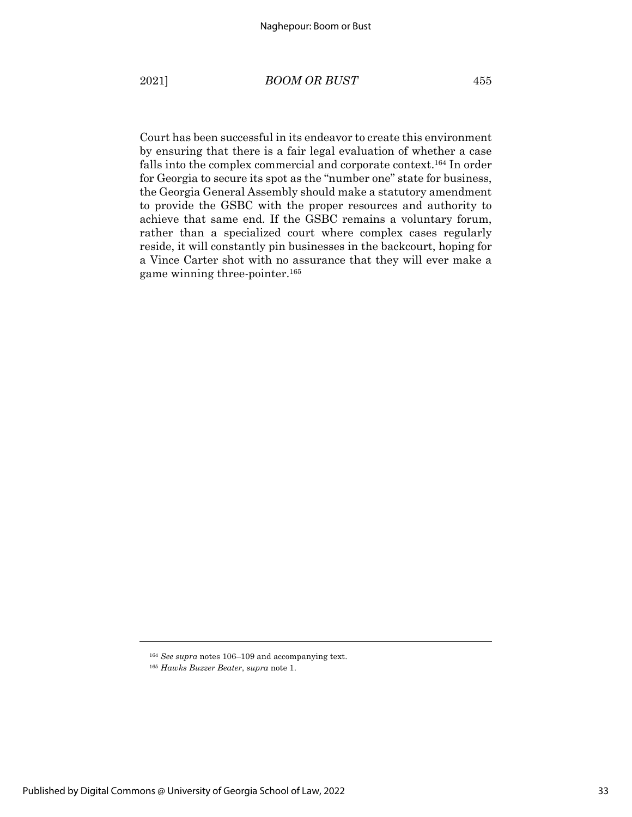Court has been successful in its endeavor to create this environment by ensuring that there is a fair legal evaluation of whether a case falls into the complex commercial and corporate context.164 In order for Georgia to secure its spot as the "number one" state for business, the Georgia General Assembly should make a statutory amendment to provide the GSBC with the proper resources and authority to achieve that same end. If the GSBC remains a voluntary forum, rather than a specialized court where complex cases regularly reside, it will constantly pin businesses in the backcourt, hoping for a Vince Carter shot with no assurance that they will ever make a game winning three-pointer.165

<sup>164</sup> *See supra* notes 106–109 and accompanying text.

<sup>165</sup> *Hawks Buzzer Beater*, *supra* note 1.